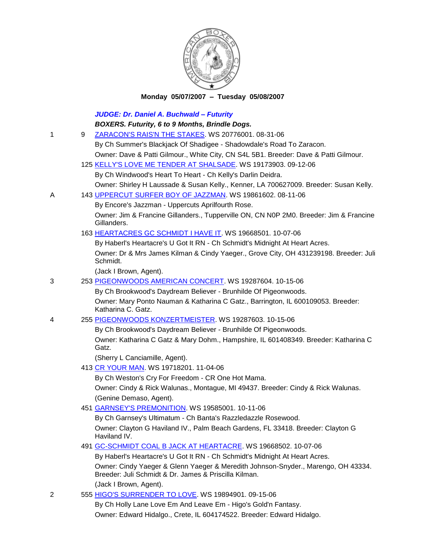

## **Monday 05/07/2007 – Tuesday 05/08/2007**

|   |   | <b>JUDGE: Dr. Daniel A. Buchwald - Futurity</b>                                                                                            |
|---|---|--------------------------------------------------------------------------------------------------------------------------------------------|
|   |   | BOXERS. Futurity, 6 to 9 Months, Brindle Dogs.                                                                                             |
| 1 | 9 | ZARACON'S RAIS'N THE STAKES. WS 20776001. 08-31-06                                                                                         |
|   |   | By Ch Summer's Blackjack Of Shadigee - Shadowdale's Road To Zaracon.                                                                       |
|   |   | Owner: Dave & Patti Gilmour., White City, CN S4L 5B1. Breeder: Dave & Patti Gilmour.                                                       |
|   |   | 125 KELLY'S LOVE ME TENDER AT SHALSADE. WS 19173903. 09-12-06                                                                              |
|   |   | By Ch Windwood's Heart To Heart - Ch Kelly's Darlin Deidra.                                                                                |
|   |   | Owner: Shirley H Laussade & Susan Kelly., Kenner, LA 700627009. Breeder: Susan Kelly.                                                      |
| Α |   | 143 UPPERCUT SURFER BOY OF JAZZMAN. WS 19861602. 08-11-06                                                                                  |
|   |   | By Encore's Jazzman - Uppercuts Aprilfourth Rose.                                                                                          |
|   |   | Owner: Jim & Francine Gillanders., Tupperville ON, CN N0P 2M0. Breeder: Jim & Francine<br>Gillanders.                                      |
|   |   | 163 HEARTACRES GC SCHMIDT I HAVE IT. WS 19668501. 10-07-06                                                                                 |
|   |   | By Haberl's Heartacre's U Got It RN - Ch Schmidt's Midnight At Heart Acres.                                                                |
|   |   | Owner: Dr & Mrs James Kilman & Cindy Yaeger., Grove City, OH 431239198. Breeder: Juli<br>Schmidt.                                          |
|   |   | (Jack I Brown, Agent).                                                                                                                     |
| 3 |   | 253 PIGEONWOODS AMERICAN CONCERT. WS 19287604. 10-15-06                                                                                    |
|   |   | By Ch Brookwood's Daydream Believer - Brunhilde Of Pigeonwoods.                                                                            |
|   |   | Owner: Mary Ponto Nauman & Katharina C Gatz., Barrington, IL 600109053. Breeder:<br>Katharina C. Gatz.                                     |
| 4 |   | 255 PIGEONWOODS KONZERTMEISTER. WS 19287603. 10-15-06                                                                                      |
|   |   | By Ch Brookwood's Daydream Believer - Brunhilde Of Pigeonwoods.                                                                            |
|   |   | Owner: Katharina C Gatz & Mary Dohm., Hampshire, IL 601408349. Breeder: Katharina C<br>Gatz.                                               |
|   |   | (Sherry L Canciamille, Agent).                                                                                                             |
|   |   | 413 CR YOUR MAN. WS 19718201. 11-04-06                                                                                                     |
|   |   | By Ch Weston's Cry For Freedom - CR One Hot Mama.                                                                                          |
|   |   | Owner: Cindy & Rick Walunas., Montague, MI 49437. Breeder: Cindy & Rick Walunas.                                                           |
|   |   | (Genine Demaso, Agent).                                                                                                                    |
|   |   | 451 GARNSEY'S PREMONITION. WS 19585001. 10-11-06                                                                                           |
|   |   | By Ch Garnsey's Ultimatum - Ch Banta's Razzledazzle Rosewood.                                                                              |
|   |   | Owner: Clayton G Haviland IV., Palm Beach Gardens, FL 33418. Breeder: Clayton G<br>Haviland IV.                                            |
|   |   | 491 GC-SCHMIDT COAL B JACK AT HEARTACRE. WS 19668502. 10-07-06                                                                             |
|   |   | By Haberl's Heartacre's U Got It RN - Ch Schmidt's Midnight At Heart Acres.                                                                |
|   |   | Owner: Cindy Yaeger & Glenn Yaeger & Meredith Johnson-Snyder., Marengo, OH 43334.<br>Breeder: Juli Schmidt & Dr. James & Priscilla Kilman. |
|   |   | (Jack I Brown, Agent).                                                                                                                     |
| 2 |   | 555 HIGO'S SURRENDER TO LOVE. WS 19894901. 09-15-06                                                                                        |
|   |   | By Ch Holly Lane Love Em And Leave Em - Higo's Gold'n Fantasy.                                                                             |

Owner: Edward Hidalgo., Crete, IL 604174522. Breeder: Edward Hidalgo.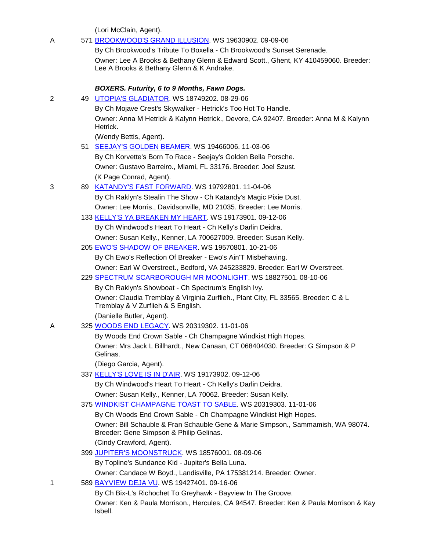(Lori McClain, Agent).

| A | 571 BROOKWOOD'S GRAND ILLUSION. WS 19630902. 09-09-06                                                                           |
|---|---------------------------------------------------------------------------------------------------------------------------------|
|   | By Ch Brookwood's Tribute To Boxella - Ch Brookwood's Sunset Serenade.                                                          |
|   | Owner: Lee A Brooks & Bethany Glenn & Edward Scott., Ghent, KY 410459060. Breeder:<br>Lee A Brooks & Bethany Glenn & K Andrake. |
|   | BOXERS. Futurity, 6 to 9 Months, Fawn Dogs.                                                                                     |
| 2 | 49 UTOPIA'S GLADIATOR. WS 18749202. 08-29-06                                                                                    |
|   | By Ch Mojave Crest's Skywalker - Hetrick's Too Hot To Handle.                                                                   |
|   | Owner: Anna M Hetrick & Kalynn Hetrick., Devore, CA 92407. Breeder: Anna M & Kalynn<br>Hetrick.                                 |
|   | (Wendy Bettis, Agent).                                                                                                          |
|   | 51 SEEJAY'S GOLDEN BEAMER. WS 19466006. 11-03-06                                                                                |
|   | By Ch Korvette's Born To Race - Seejay's Golden Bella Porsche.                                                                  |
|   | Owner: Gustavo Barreiro., Miami, FL 33176. Breeder: Joel Szust.                                                                 |
|   | (K Page Conrad, Agent).                                                                                                         |
| 3 | 89 KATANDY'S FAST FORWARD. WS 19792801. 11-04-06                                                                                |
|   | By Ch Raklyn's Stealin The Show - Ch Katandy's Magic Pixie Dust.                                                                |
|   | Owner: Lee Morris., Davidsonville, MD 21035. Breeder: Lee Morris.                                                               |
|   | 133 KELLY'S YA BREAKEN MY HEART. WS 19173901. 09-12-06                                                                          |
|   | By Ch Windwood's Heart To Heart - Ch Kelly's Darlin Deidra.                                                                     |
|   | Owner: Susan Kelly., Kenner, LA 700627009. Breeder: Susan Kelly.                                                                |
|   | 205 EWO'S SHADOW OF BREAKER. WS 19570801. 10-21-06                                                                              |
|   | By Ch Ewo's Reflection Of Breaker - Ewo's Ain'T Misbehaving.                                                                    |
|   | Owner: Earl W Overstreet., Bedford, VA 245233829. Breeder: Earl W Overstreet.                                                   |
|   | 229 SPECTRUM SCARBOROUGH MR MOONLIGHT. WS 18827501. 08-10-06                                                                    |
|   | By Ch Raklyn's Showboat - Ch Spectrum's English Ivy.                                                                            |
|   | Owner: Claudia Tremblay & Virginia Zurflieh., Plant City, FL 33565. Breeder: C & L<br>Tremblay & V Zurflieh & S English.        |
|   | (Danielle Butler, Agent).                                                                                                       |
| A | 325 WOODS END LEGACY. WS 20319302. 11-01-06                                                                                     |
|   | By Woods End Crown Sable - Ch Champagne Windkist High Hopes.                                                                    |
|   | Owner: Mrs Jack L Billhardt., New Canaan, CT 068404030. Breeder: G Simpson & P<br>Gelinas.                                      |
|   | (Diego Garcia, Agent).                                                                                                          |
|   | 337 KELLY'S LOVE IS IN D'AIR. WS 19173902. 09-12-06                                                                             |
|   | By Ch Windwood's Heart To Heart - Ch Kelly's Darlin Deidra.                                                                     |
|   | Owner: Susan Kelly., Kenner, LA 70062. Breeder: Susan Kelly.                                                                    |
|   | 375 WINDKIST CHAMPAGNE TOAST TO SABLE. WS 20319303. 11-01-06                                                                    |
|   | By Ch Woods End Crown Sable - Ch Champagne Windkist High Hopes.                                                                 |
|   | Owner: Bill Schauble & Fran Schauble Gene & Marie Simpson., Sammamish, WA 98074.<br>Breeder: Gene Simpson & Philip Gelinas.     |
|   | (Cindy Crawford, Agent).                                                                                                        |
|   | 399 JUPITER'S MOONSTRUCK. WS 18576001. 08-09-06                                                                                 |
|   | By Topline's Sundance Kid - Jupiter's Bella Luna.                                                                               |
|   | Owner: Candace W Boyd., Landisville, PA 175381214. Breeder: Owner.                                                              |
| 1 | 589 BAYVIEW DEJA VU. WS 19427401. 09-16-06                                                                                      |
|   | By Ch Bix-L's Richochet To Greyhawk - Bayview In The Groove.                                                                    |
|   | Owner: Ken & Paula Morrison., Hercules, CA 94547. Breeder: Ken & Paula Morrison & Kay<br>Isbell.                                |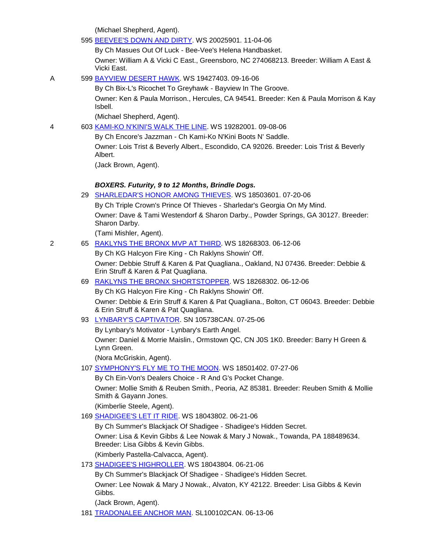(Michael Shepherd, Agent).

| 595 BEEVEE'S DOWN AND DIRTY, WS 20025901, 11-04-06 |  |
|----------------------------------------------------|--|
|----------------------------------------------------|--|

By Ch Masues Out Of Luck - Bee-Vee's Helena Handbasket.

Owner: William A & Vicki C East., Greensboro, NC 274068213. Breeder: William A East & Vicki East.

A 599 [BAYVIEW DESERT HAWK.](http://canis.infodog.com/files/bdogrsl1.prg;makc=WS_19427403;mdog=Bayview_Desert_Hawk;wins=all) WS 19427403. 09-16-06

By Ch Bix-L's Ricochet To Greyhawk - Bayview In The Groove.

Owner: Ken & Paula Morrison., Hercules, CA 94541. Breeder: Ken & Paula Morrison & Kay Isbell.

(Michael Shepherd, Agent).

#### 4 603 [KAMI-KO N'KINI'S WALK THE LINE.](http://canis.infodog.com/files/bdogrsl1.prg;makc=WS_19282001;mdog=Kami-Ko_N_Kini_s_Walk_The_Line;wins=all) WS 19282001. 09-08-06

By Ch Encore's Jazzman - Ch Kami-Ko N'Kini Boots N' Saddle.

Owner: Lois Trist & Beverly Albert., Escondido, CA 92026. Breeder: Lois Trist & Beverly Albert.

(Jack Brown, Agent).

## *BOXERS. Futurity, 9 to 12 Months, Brindle Dogs.*

|   | 29 SHARLEDAR'S HONOR AMONG THIEVES WS 18503601. 07-20-06                                                                          |
|---|-----------------------------------------------------------------------------------------------------------------------------------|
|   | By Ch Triple Crown's Prince Of Thieves - Sharledar's Georgia On My Mind.                                                          |
|   | Owner: Dave & Tami Westendorf & Sharon Darby., Powder Springs, GA 30127. Breeder:<br>Sharon Darby.                                |
|   | (Tami Mishler, Agent).                                                                                                            |
| 2 | 65 RAKLYNS THE BRONX MVP AT THIRD. WS 18268303. 06-12-06                                                                          |
|   | By Ch KG Halcyon Fire King - Ch Raklyns Showin' Off.                                                                              |
|   | Owner: Debbie Struff & Karen & Pat Quagliana., Oakland, NJ 07436. Breeder: Debbie &<br>Erin Struff & Karen & Pat Quagliana.       |
|   | 69 RAKLYNS THE BRONX SHORTSTOPPER. WS 18268302. 06-12-06                                                                          |
|   | By Ch KG Halcyon Fire King - Ch Raklyns Showin' Off.                                                                              |
|   | Owner: Debbie & Erin Struff & Karen & Pat Quagliana., Bolton, CT 06043. Breeder: Debbie<br>& Erin Struff & Karen & Pat Quagliana. |
|   | 93 LYNBARY'S CAPTIVATOR. SN 105738CAN. 07-25-06                                                                                   |
|   | By Lynbary's Motivator - Lynbary's Earth Angel.                                                                                   |
|   | Owner: Daniel & Morrie Maislin., Ormstown QC, CN J0S 1K0. Breeder: Barry H Green &<br>Lynn Green.                                 |
|   | (Nora McGriskin, Agent).                                                                                                          |
|   | 107 SYMPHONY'S FLY ME TO THE MOON. WS 18501402. 07-27-06                                                                          |
|   | By Ch Ein-Von's Dealers Choice - R And G's Pocket Change.                                                                         |
|   | Owner: Mollie Smith & Reuben Smith., Peoria, AZ 85381. Breeder: Reuben Smith & Mollie<br>Smith & Gayann Jones.                    |

(Kimberlie Steele, Agent).

169 [SHADIGEE'S LET IT RIDE.](http://canis.infodog.com/files/bdogrsl1.prg;makc=WS_18043802;mdog=Shadigee_s_Let_It_Ride;wins=all) WS 18043802. 06-21-06

By Ch Summer's Blackjack Of Shadigee - Shadigee's Hidden Secret.

Owner: Lisa & Kevin Gibbs & Lee Nowak & Mary J Nowak., Towanda, PA 188489634. Breeder: Lisa Gibbs & Kevin Gibbs.

(Kimberly Pastella-Calvacca, Agent).

173 [SHADIGEE'S HIGHROLLER.](http://canis.infodog.com/files/bdogrsl1.prg;makc=WS_18043804;mdog=Shadigee_s_Highroller;wins=all) WS 18043804. 06-21-06

By Ch Summer's Blackjack Of Shadigee - Shadigee's Hidden Secret.

Owner: Lee Nowak & Mary J Nowak., Alvaton, KY 42122. Breeder: Lisa Gibbs & Kevin Gibbs.

(Jack Brown, Agent).

181 [TRADONALEE ANCHOR MAN.](http://canis.infodog.com/files/bdogrsl1.prg;makc=SL100102CAN;mdog=Tradonalee_Anchor_Man;wins=all) SL100102CAN. 06-13-06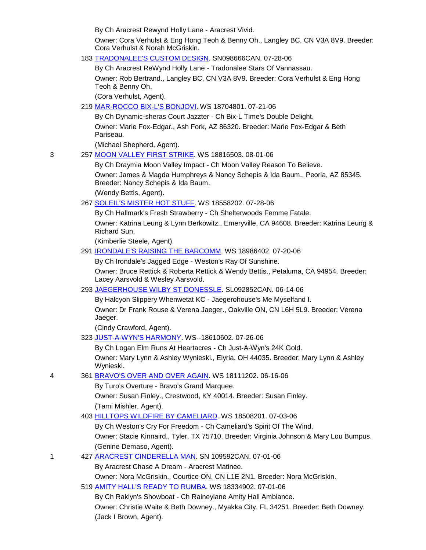By Ch Aracrest Rewynd Holly Lane - Aracrest Vivid.

Owner: Cora Verhulst & Eng Hong Teoh & Benny Oh., Langley BC, CN V3A 8V9. Breeder: Cora Verhulst & Norah McGriskin.

183 [TRADONALEE'S CUSTOM DESIGN.](http://canis.infodog.com/files/bdogrsl1.prg;makc=SN098666CAN;mdog=Tradonalee_s_Custom_Design;wins=all) SN098666CAN. 07-28-06

By Ch Aracrest ReWynd Holly Lane - Tradonalee Stars Of Vannassau. Owner: Rob Bertrand., Langley BC, CN V3A 8V9. Breeder: Cora Verhulst & Eng Hong Teoh & Benny Oh.

(Cora Verhulst, Agent).

219 [MAR-ROCCO BIX-L'S BONJOVI.](http://canis.infodog.com/files/bdogrsl1.prg;makc=WS_18704801;mdog=Mar-Rocco_Bix-L_s_Bonjovi;wins=all) WS 18704801. 07-21-06

By Ch Dynamic-sheras Court Jazzter - Ch Bix-L Time's Double Delight. Owner: Marie Fox-Edgar., Ash Fork, AZ 86320. Breeder: Marie Fox-Edgar & Beth Pariseau.

(Michael Shepherd, Agent).

3 257 [MOON VALLEY FIRST STRIKE.](http://canis.infodog.com/files/bdogrsl1.prg;makc=WS_18816503;mdog=Moon_Valley_First_Strike;wins=all) WS 18816503. 08-01-06

By Ch Draymia Moon Valley Impact - Ch Moon Valley Reason To Believe.

Owner: James & Magda Humphreys & Nancy Schepis & Ida Baum., Peoria, AZ 85345. Breeder: Nancy Schepis & Ida Baum.

(Wendy Bettis, Agent).

267 [SOLEIL'S MISTER HOT STUFF.](http://canis.infodog.com/files/bdogrsl1.prg;makc=WS_18558202;mdog=Soleil_s_Mister_Hot_Stuff;wins=all) WS 18558202. 07-28-06

By Ch Hallmark's Fresh Strawberry - Ch Shelterwoods Femme Fatale. Owner: Katrina Leung & Lynn Berkowitz., Emeryville, CA 94608. Breeder: Katrina Leung & Richard Sun.

(Kimberlie Steele, Agent).

## 291 [IRONDALE'S RAISING THE BARCOMM.](http://canis.infodog.com/files/bdogrsl1.prg;makc=WS_18986402;mdog=Irondale_s_Raising_The_Barcomm;wins=all) WS 18986402. 07-20-06

By Ch Irondale's Jagged Edge - Weston's Ray Of Sunshine.

Owner: Bruce Rettick & Roberta Rettick & Wendy Bettis., Petaluma, CA 94954. Breeder: Lacey Aarsvold & Wesley Aarsvold.

293 [JAEGERHOUSE WILBY ST DONESSLE.](http://canis.infodog.com/files/bdogrsl1.prg;makc=SL092852CAN;mdog=Jaegerhouse_Wilby_St_Donessle;wins=all) SL092852CAN. 06-14-06

By Halcyon Slippery Whenwetat KC - Jaegerohouse's Me Myselfand I. Owner: Dr Frank Rouse & Verena Jaeger., Oakville ON, CN L6H 5L9. Breeder: Verena Jaeger.

(Cindy Crawford, Agent).

323 [JUST-A-WYN'S HARMONY.](http://canis.infodog.com/files/bdogrsl1.prg;makc=WS--18610602;mdog=Just-A-Wyn_s_Harmony;wins=all) WS--18610602. 07-26-06

By Ch Logan Elm Runs At Heartacres - Ch Just-A-Wyn's 24K Gold. Owner: Mary Lynn & Ashley Wynieski., Elyria, OH 44035. Breeder: Mary Lynn & Ashley Wynieski.

4 361 [BRAVO'S OVER AND OVER AGAIN.](http://canis.infodog.com/files/bdogrsl1.prg;makc=WS_18111202;mdog=Bravo_s_Over_And_Over_Again;wins=all) WS 18111202. 06-16-06

By Turo's Overture - Bravo's Grand Marquee.

Owner: Susan Finley., Crestwood, KY 40014. Breeder: Susan Finley. (Tami Mishler, Agent).

403 [HILLTOPS WILDFIRE BY CAMELIARD.](http://canis.infodog.com/files/bdogrsl1.prg;makc=WS_18508201;mdog=Hilltops_Wildfire_By_Cameliard;wins=all) WS 18508201. 07-03-06

By Ch Weston's Cry For Freedom - Ch Cameliard's Spirit Of The Wind.

Owner: Stacie Kinnaird., Tyler, TX 75710. Breeder: Virginia Johnson & Mary Lou Bumpus. (Genine Demaso, Agent).

1 427 [ARACREST CINDERELLA MAN.](http://canis.infodog.com/files/bdogrsl1.prg;makc=SN_109592CAN;mdog=Aracrest_Cinderella_Man;wins=all) SN 109592CAN. 07-01-06

By Aracrest Chase A Dream - Aracrest Matinee.

Owner: Nora McGriskin., Courtice ON, CN L1E 2N1. Breeder: Nora McGriskin.

519 [AMITY HALL'S READY TO RUMBA.](http://canis.infodog.com/files/bdogrsl1.prg;makc=WS_18334902;mdog=Amity_Hall_s_Ready_To_Rumba;wins=all) WS 18334902. 07-01-06

By Ch Raklyn's Showboat - Ch Raineylane Amity Hall Ambiance. Owner: Christie Waite & Beth Downey., Myakka City, FL 34251. Breeder: Beth Downey. (Jack I Brown, Agent).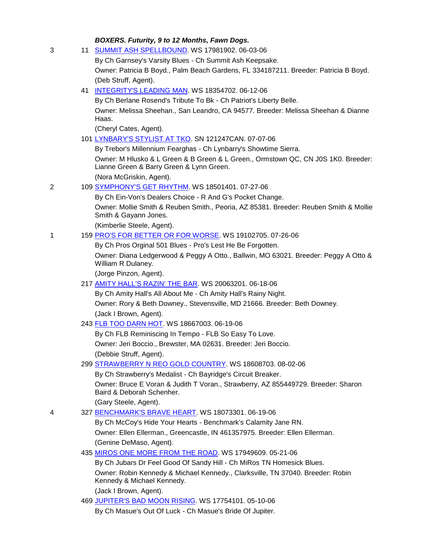# *BOXERS. Futurity, 9 to 12 Months, Fawn Dogs.*

| 3 |    | 11 SUMMIT ASH SPELLBOUND. WS 17981902. 06-03-06                                                                               |
|---|----|-------------------------------------------------------------------------------------------------------------------------------|
|   |    | By Ch Garnsey's Varsity Blues - Ch Summit Ash Keepsake.                                                                       |
|   |    | Owner: Patricia B Boyd., Palm Beach Gardens, FL 334187211. Breeder: Patricia B Boyd.                                          |
|   |    | (Deb Struff, Agent).                                                                                                          |
|   | 41 | <b>INTEGRITY'S LEADING MAN. WS 18354702. 06-12-06</b>                                                                         |
|   |    | By Ch Berlane Rosend's Tribute To Bk - Ch Patriot's Liberty Belle.                                                            |
|   |    | Owner: Melissa Sheehan., San Leandro, CA 94577. Breeder: Melissa Sheehan & Dianne<br>Haas.                                    |
|   |    | (Cheryl Cates, Agent).                                                                                                        |
|   |    | 101 LYNBARY'S STYLIST AT TKO. SN 121247CAN. 07-07-06                                                                          |
|   |    | By Trebor's Millennium Fearghas - Ch Lynbarry's Showtime Sierra.                                                              |
|   |    | Owner: M Hlusko & L Green & B Green & L Green., Ormstown QC, CN J0S 1K0. Breeder:<br>Lianne Green & Barry Green & Lynn Green. |
|   |    | (Nora McGriskin, Agent).                                                                                                      |
| 2 |    | 109 SYMPHONY'S GET RHYTHM. WS 18501401. 07-27-06                                                                              |
|   |    | By Ch Ein-Von's Dealers Choice - R And G's Pocket Change.                                                                     |
|   |    | Owner: Mollie Smith & Reuben Smith., Peoria, AZ 85381. Breeder: Reuben Smith & Mollie<br>Smith & Gayann Jones.                |
|   |    | (Kimberlie Steele, Agent).                                                                                                    |
| 1 |    | 159 PRO'S FOR BETTER OR FOR WORSE. WS 19102705. 07-26-06                                                                      |
|   |    | By Ch Pros Orginal 501 Blues - Pro's Lest He Be Forgotten.                                                                    |
|   |    | Owner: Diana Ledgerwood & Peggy A Otto., Ballwin, MO 63021. Breeder: Peggy A Otto &<br>William R Dulaney.                     |
|   |    | (Jorge Pinzon, Agent).                                                                                                        |
|   |    | 217 AMITY HALL'S RAZIN' THE BAR. WS 20063201. 06-18-06                                                                        |
|   |    | By Ch Amity Hall's All About Me - Ch Amity Hall's Rainy Night.                                                                |
|   |    | Owner: Rory & Beth Downey., Stevensville, MD 21666. Breeder: Beth Downey.                                                     |
|   |    | (Jack I Brown, Agent).                                                                                                        |
|   |    | 243 FLB TOO DARN HOT. WS 18667003. 06-19-06<br>By Ch FLB Reminiscing In Tempo - FLB So Easy To Love.                          |
|   |    | Owner: Jeri Boccio., Brewster, MA 02631. Breeder: Jeri Boccio.                                                                |
|   |    | (Debbie Struff, Agent).                                                                                                       |
|   |    | 299 STRAWBERRY N REO GOLD COUNTRY. WS 18608703. 08-02-06                                                                      |
|   |    | By Ch Strawberry's Medalist - Ch Bayridge's Circuit Breaker.                                                                  |
|   |    | Owner: Bruce E Voran & Judith T Voran., Strawberry, AZ 855449729. Breeder: Sharon<br>Baird & Deborah Schenher.                |
|   |    | (Gary Steele, Agent).                                                                                                         |
| 4 |    | 327 BENCHMARK'S BRAVE HEART. WS 18073301. 06-19-06                                                                            |
|   |    | By Ch McCoy's Hide Your Hearts - Benchmark's Calamity Jane RN.                                                                |
|   |    | Owner: Ellen Ellerman., Greencastle, IN 461357975. Breeder: Ellen Ellerman.                                                   |
|   |    | (Genine DeMaso, Agent).                                                                                                       |
|   |    | 435 MIROS ONE MORE FROM THE ROAD. WS 17949609. 05-21-06                                                                       |
|   |    | By Ch Jubars Dr Feel Good Of Sandy Hill - Ch MiRos TN Homesick Blues.                                                         |
|   |    | Owner: Robin Kennedy & Michael Kennedy., Clarksville, TN 37040. Breeder: Robin<br>Kennedy & Michael Kennedy.                  |
|   |    | (Jack I Brown, Agent).                                                                                                        |
|   |    | 469 JUPITER'S BAD MOON RISING. WS 17754101. 05-10-06                                                                          |
|   |    | By Ch Masue's Out Of Luck - Ch Masue's Bride Of Jupiter.                                                                      |
|   |    |                                                                                                                               |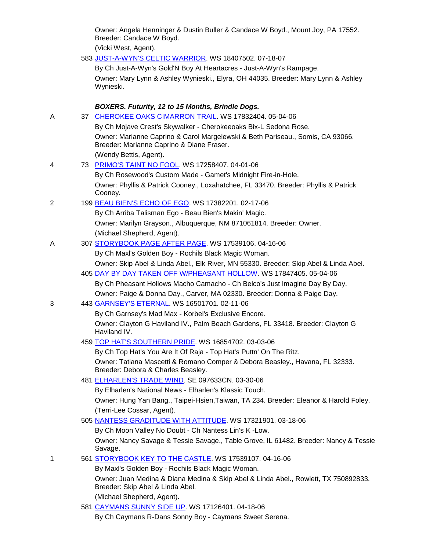Owner: Angela Henninger & Dustin Buller & Candace W Boyd., Mount Joy, PA 17552. Breeder: Candace W Boyd.

(Vicki West, Agent).

583 [JUST-A-WYN'S CELTIC WARRIOR.](http://canis.infodog.com/files/bdogrsl1.prg;makc=WS_18407502;mdog=Just-A-Wyn_s_Celtic_Warrior;wins=all) WS 18407502. 07-18-07

By Ch Just-A-Wyn's Gold'N Boy At Heartacres - Just-A-Wyn's Rampage. Owner: Mary Lynn & Ashley Wynieski., Elyra, OH 44035. Breeder: Mary Lynn & Ashley Wynieski.

# *BOXERS. Futurity, 12 to 15 Months, Brindle Dogs.*  A 37 [CHEROKEE OAKS CIMARRON TRAIL.](http://canis.infodog.com/files/bdogrsl1.prg;makc=WS_17832404;mdog=Cherokee_Oaks_Cimarron_Trail;wins=all) WS 17832404. 05-04-06 By Ch Mojave Crest's Skywalker - Cherokeeoaks Bix-L Sedona Rose. Owner: Marianne Caprino & Carol Margelewski & Beth Pariseau., Somis, CA 93066. Breeder: Marianne Caprino & Diane Fraser. (Wendy Bettis, Agent). 4 73 [PRIMO'S TAINT NO FOOL.](http://canis.infodog.com/files/bdogrsl1.prg;makc=WS_17258407;mdog=Primo_s_Taint_No_Fool;wins=all) WS 17258407. 04-01-06 By Ch Rosewood's Custom Made - Gamet's Midnight Fire-in-Hole. Owner: Phyllis & Patrick Cooney., Loxahatchee, FL 33470. Breeder: Phyllis & Patrick Cooney. 2 199 [BEAU BIEN'S ECHO OF EGO.](http://canis.infodog.com/files/bdogrsl1.prg;makc=WS_17382201;mdog=Beau_Bien_s_Echo_Of_Ego;wins=all) WS 17382201. 02-17-06 By Ch Arriba Talisman Ego - Beau Bien's Makin' Magic. Owner: Marilyn Grayson., Albuquerque, NM 871061814. Breeder: Owner. (Michael Shepherd, Agent). A 307 [STORYBOOK PAGE AFTER PAGE.](http://canis.infodog.com/files/bdogrsl1.prg;makc=WS_17539106;mdog=Storybook_Page_After_Page;wins=all) WS 17539106. 04-16-06 By Ch Maxl's Golden Boy - Rochils Black Magic Woman. Owner: Skip Abel & Linda Abel., Elk River, MN 55330. Breeder: Skip Abel & Linda Abel. 405 [DAY BY DAY TAKEN OFF W/PHEASANT HOLLOW.](http://canis.infodog.com/files/bdogrsl1.prg;makc=WS_17847405;mdog=Day_By_Day_Taken_Off_W/Pheasant_Hollow;wins=all) WS 17847405. 05-04-06 By Ch Pheasant Hollows Macho Camacho - Ch Belco's Just Imagine Day By Day. Owner: Paige & Donna Day., Carver, MA 02330. Breeder: Donna & Paige Day. 3 443 [GARNSEY'S ETERNAL.](http://canis.infodog.com/files/bdogrsl1.prg;makc=WS_16501701;mdog=Garnsey_s_Eternal;wins=all) WS 16501701. 02-11-06 By Ch Garnsey's Mad Max - Korbel's Exclusive Encore. Owner: Clayton G Haviland IV., Palm Beach Gardens, FL 33418. Breeder: Clayton G Haviland IV. 459 [TOP HAT'S SOUTHERN PRIDE.](http://canis.infodog.com/files/bdogrsl1.prg;makc=WS_16854702;mdog=Top_Hat_s_Southern_Pride;wins=all) WS 16854702. 03-03-06 By Ch Top Hat's You Are It Of Raja - Top Hat's Puttn' On The Ritz. Owner: Tatiana Mascetti & Romano Comper & Debora Beasley., Havana, FL 32333. Breeder: Debora & Charles Beasley. 481 [ELHARLEN'S TRADE WIND.](http://canis.infodog.com/files/bdogrsl1.prg;makc=SE_097633CN;mdog=Elharlen_s_Trade_Wind;wins=all) SE 097633CN. 03-30-06 By Elharlen's National News - Elharlen's Klassic Touch. Owner: Hung Yan Bang., Taipei-Hsien,Taiwan, TA 234. Breeder: Eleanor & Harold Foley. (Terri-Lee Cossar, Agent). 505 [NANTESS GRADITUDE WITH ATTITUDE.](http://canis.infodog.com/files/bdogrsl1.prg;makc=WS_17321901;mdog=Nantess_Graditude_With_Attitude;wins=all) WS 17321901. 03-18-06

By Ch Moon Valley No Doubt - Ch Nantess Lin's K -Low. Owner: Nancy Savage & Tessie Savage., Table Grove, IL 61482. Breeder: Nancy & Tessie Savage.

1 561 [STORYBOOK KEY TO THE CASTLE.](http://canis.infodog.com/files/bdogrsl1.prg;makc=WS_17539107;mdog=Storybook_Key_To_The_Castle;wins=all) WS 17539107. 04-16-06

By Maxl's Golden Boy - Rochils Black Magic Woman.

Owner: Juan Medina & Diana Medina & Skip Abel & Linda Abel., Rowlett, TX 750892833. Breeder: Skip Abel & Linda Abel.

(Michael Shepherd, Agent).

581 [CAYMANS SUNNY SIDE UP.](http://canis.infodog.com/files/bdogrsl1.prg;makc=WS_17126401;mdog=Caymans_Sunny_Side_Up;wins=all) WS 17126401. 04-18-06

By Ch Caymans R-Dans Sonny Boy - Caymans Sweet Serena.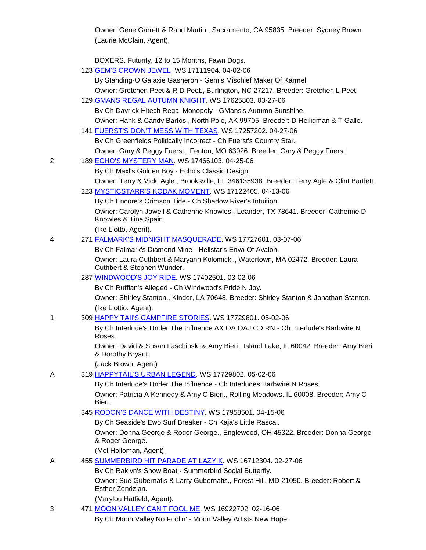Owner: Gene Garrett & Rand Martin., Sacramento, CA 95835. Breeder: Sydney Brown. (Laurie McClain, Agent).

BOXERS. Futurity, 12 to 15 Months, Fawn Dogs.

|   | 123 GEM'S CROWN JEWEL. WS 17111904. 04-02-06<br>By Standing-O Galaxie Gasheron - Gem's Mischief Maker Of Karmel. |
|---|------------------------------------------------------------------------------------------------------------------|
|   | Owner: Gretchen Peet & R D Peet., Burlington, NC 27217. Breeder: Gretchen L Peet.                                |
|   | 129 GMANS REGAL AUTUMN KNIGHT. WS 17625803. 03-27-06                                                             |
|   | By Ch Davrick Hitech Regal Monopoly - GMans's Autumn Sunshine.                                                   |
|   | Owner: Hank & Candy Bartos., North Pole, AK 99705. Breeder: D Heiligman & T Galle.                               |
|   | 141 FUERST'S DON'T MESS WITH TEXAS. WS 17257202. 04-27-06                                                        |
|   | By Ch Greenfields Politically Incorrect - Ch Fuerst's Country Star.                                              |
|   | Owner: Gary & Peggy Fuerst., Fenton, MO 63026. Breeder: Gary & Peggy Fuerst.                                     |
| 2 | 189 ECHO'S MYSTERY MAN. WS 17466103. 04-25-06                                                                    |
|   | By Ch Maxl's Golden Boy - Echo's Classic Design.                                                                 |
|   | Owner: Terry & Vicki Agle., Brooksville, FL 346135938. Breeder: Terry Agle & Clint Bartlett.                     |
|   | 223 MYSTICSTARR'S KODAK MOMENT. WS 17122405. 04-13-06                                                            |
|   | By Ch Encore's Crimson Tide - Ch Shadow River's Intuition.                                                       |
|   | Owner: Carolyn Jowell & Catherine Knowles., Leander, TX 78641. Breeder: Catherine D.                             |
|   | Knowles & Tina Spain.                                                                                            |
|   | (Ike Liotto, Agent).                                                                                             |
| 4 | 271 FALMARK'S MIDNIGHT MASQUERADE. WS 17727601. 03-07-06                                                         |
|   | By Ch Falmark's Diamond Mine - Hellstar's Enya Of Avalon.                                                        |
|   | Owner: Laura Cuthbert & Maryann Kolomicki., Watertown, MA 02472. Breeder: Laura<br>Cuthbert & Stephen Wunder.    |
|   | 287 WINDWOOD'S JOY RIDE. WS 17402501. 03-02-06                                                                   |
|   | By Ch Ruffian's Alleged - Ch Windwood's Pride N Joy.                                                             |
|   | Owner: Shirley Stanton., Kinder, LA 70648. Breeder: Shirley Stanton & Jonathan Stanton.                          |
|   | (Ike Liottio, Agent).                                                                                            |
| 1 | 309 HAPPY TAII'S CAMPFIRE STORIES. WS 17729801. 05-02-06                                                         |
|   | By Ch Interlude's Under The Influence AX OA OAJ CD RN - Ch Interlude's Barbwire N<br>Roses.                      |
|   | Owner: David & Susan Laschinski & Amy Bieri., Island Lake, IL 60042. Breeder: Amy Bieri<br>& Dorothy Bryant.     |
|   | (Jack Brown, Agent).                                                                                             |
| Α | 319 HAPPYTAIL'S URBAN LEGEND. WS 17729802. 05-02-06                                                              |
|   | By Ch Interlude's Under The Influence - Ch Interludes Barbwire N Roses.                                          |
|   | Owner: Patricia A Kennedy & Amy C Bieri., Rolling Meadows, IL 60008. Breeder: Amy C<br>Bieri.                    |
|   | 345 RODON'S DANCE WITH DESTINY. WS 17958501. 04-15-06                                                            |
|   | By Ch Seaside's Ewo Surf Breaker - Ch Kaja's Little Rascal.                                                      |
|   | Owner: Donna George & Roger George., Englewood, OH 45322. Breeder: Donna George<br>& Roger George.               |
|   | (Mel Holloman, Agent).                                                                                           |
| A | 455 SUMMERBIRD HIT PARADE AT LAZY K. WS 16712304. 02-27-06                                                       |
|   | By Ch Raklyn's Show Boat - Summerbird Social Butterfly.                                                          |
|   | Owner: Sue Gubernatis & Larry Gubernatis., Forest Hill, MD 21050. Breeder: Robert &<br>Esther Zendzian.          |
|   | (Marylou Hatfield, Agent).                                                                                       |

3 471 [MOON VALLEY CAN'T FOOL ME.](http://canis.infodog.com/files/bdogrsl1.prg;makc=WS_16922702;mdog=Moon_Valley_Can_T_Fool_Me;wins=all) WS 16922702. 02-16-06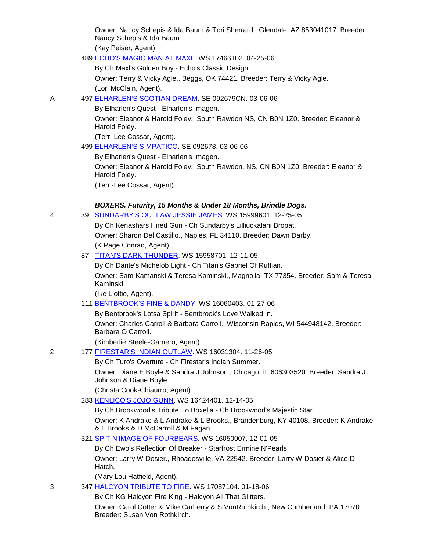Owner: Nancy Schepis & Ida Baum & Tori Sherrard., Glendale, AZ 853041017. Breeder: Nancy Schepis & Ida Baum. (Kay Peiser, Agent).

489 [ECHO'S MAGIC MAN AT MAXL.](http://canis.infodog.com/files/bdogrsl1.prg;makc=WS_17466102;mdog=Echo_s_Magic_Man_At_Maxl;wins=all) WS 17466102. 04-25-06

By Ch Maxl's Golden Boy - Echo's Classic Design.

Owner: Terry & Vicky Agle., Beggs, OK 74421. Breeder: Terry & Vicky Agle. (Lori McClain, Agent).

A 497 [ELHARLEN'S SCOTIAN DREAM.](http://canis.infodog.com/files/bdogrsl1.prg;makc=SE_092679CN;mdog=Elharlen_s_Scotian_Dream;wins=all) SE 092679CN. 03-06-06

By Elharlen's Quest - Elharlen's Imagen.

Owner: Eleanor & Harold Foley., South Rawdon NS, CN B0N 1Z0. Breeder: Eleanor & Harold Foley.

(Terri-Lee Cossar, Agent).

499 [ELHARLEN'S SIMPATICO.](http://canis.infodog.com/files/bdogrsl1.prg;makc=SE_092678;mdog=Elharlen_s_Simpatico;wins=all) SE 092678. 03-06-06

By Elharlen's Quest - Elharlen's Imagen.

Owner: Eleanor & Harold Foley., South Rawdon, NS, CN B0N 1Z0. Breeder: Eleanor & Harold Foley.

(Terri-Lee Cossar, Agent).

### *BOXERS. Futurity, 15 Months & Under 18 Months, Brindle Dogs.*

4 39 [SUNDARBY'S OUTLAW JESSIE JAMES.](http://canis.infodog.com/files/bdogrsl1.prg;makc=WS_15999601;mdog=Sundarby_s_Outlaw_Jessie_James;wins=all) WS 15999601. 12-25-05 By Ch Kenashars Hired Gun - Ch Sundarby's Lilliuckalani Bropat. Owner: Sharon Del Castillo., Naples, FL 34110. Breeder: Dawn Darby.

(K Page Conrad, Agent).

87 [TITAN'S DARK THUNDER.](http://canis.infodog.com/files/bdogrsl1.prg;makc=WS_15958701;mdog=Titan_s_Dark_Thunder;wins=all) WS 15958701. 12-11-05

By Ch Dante's Michelob Light - Ch Titan's Gabriel Of Ruffian. Owner: Sam Kamanski & Teresa Kaminski., Magnolia, TX 77354. Breeder: Sam & Teresa Kaminski.

(Ike Liottio, Agent).

111 [BENTBROOK'S FINE & DANDY.](http://canis.infodog.com/files/bdogrsl1.prg;makc=WS_16060403;mdog=Bentbrook_s_Fine_&_Dandy;wins=all) WS 16060403. 01-27-06

By Bentbrook's Lotsa Spirit - Bentbrook's Love Walked In. Owner: Charles Carroll & Barbara Carroll., Wisconsin Rapids, WI 544948142. Breeder: Barbara O Carroll.

(Kimberlie Steele-Gamero, Agent).

2 177 [FIRESTAR'S INDIAN OUTLAW.](http://canis.infodog.com/files/bdogrsl1.prg;makc=WS_16031304;mdog=Firestar_s_Indian_Outlaw;wins=all) WS 16031304. 11-26-05

By Ch Turo's Overture - Ch Firestar's Indian Summer.

Owner: Diane E Boyle & Sandra J Johnson., Chicago, IL 606303520. Breeder: Sandra J Johnson & Diane Boyle.

(Christa Cook-Chiaurro, Agent).

283 [KENLICO'S JOJO GUNN.](http://canis.infodog.com/files/bdogrsl1.prg;makc=WS_16424401;mdog=Kenlico_s_JoJo_Gunn;wins=all) WS 16424401. 12-14-05

By Ch Brookwood's Tribute To Boxella - Ch Brookwood's Majestic Star. Owner: K Andrake & L Andrake & L Brooks., Brandenburg, KY 40108. Breeder: K Andrake & L Brooks & D McCarroll & M Fagan.

321 [SPIT N'IMAGE OF FOURBEARS.](http://canis.infodog.com/files/bdogrsl1.prg;makc=WS_16050007;mdog=Spit_N_Image_Of_Fourbears;wins=all) WS 16050007. 12-01-05

By Ch Ewo's Reflection Of Breaker - Starfrost Ermine N'Pearls. Owner: Larry W Dosier., Rhoadesville, VA 22542. Breeder: Larry W Dosier & Alice D Hatch.

(Mary Lou Hatfield, Agent).

3 347 [HALCYON TRIBUTE TO FIRE.](http://canis.infodog.com/files/bdogrsl1.prg;makc=WS_17087104;mdog=Halcyon_Tribute_To_Fire;wins=all) WS 17087104. 01-18-06

By Ch KG Halcyon Fire King - Halcyon All That Glitters.

Owner: Carol Cotter & Mike Carberry & S VonRothkirch., New Cumberland, PA 17070. Breeder: Susan Von Rothkirch.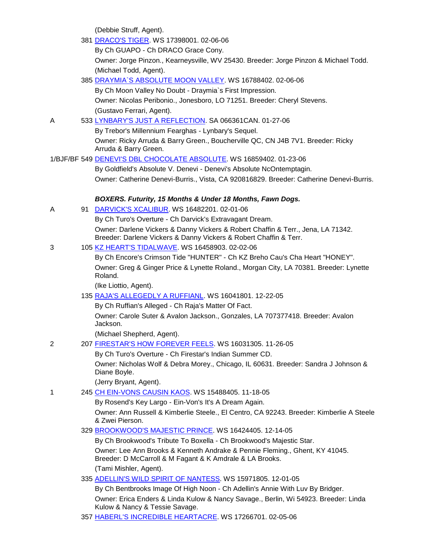(Debbie Struff, Agent).

|   | (Debbie Struff, Agent).                                                                                                                               |
|---|-------------------------------------------------------------------------------------------------------------------------------------------------------|
|   | 381 DRACO'S TIGER. WS 17398001. 02-06-06                                                                                                              |
|   | By Ch GUAPO - Ch DRACO Grace Cony.                                                                                                                    |
|   | Owner: Jorge Pinzon., Kearneysville, WV 25430. Breeder: Jorge Pinzon & Michael Todd.                                                                  |
|   | (Michael Todd, Agent).                                                                                                                                |
|   | 385 DRAYMIA`S ABSOLUTE MOON VALLEY. WS 16788402. 02-06-06                                                                                             |
|   | By Ch Moon Valley No Doubt - Draymia's First Impression.                                                                                              |
|   | Owner: Nicolas Peribonio., Jonesboro, LO 71251. Breeder: Cheryl Stevens.                                                                              |
|   | (Gustavo Ferrari, Agent).                                                                                                                             |
| Α | 533 LYNBARY'S JUST A REFLECTION. SA 066361CAN. 01-27-06                                                                                               |
|   | By Trebor's Millennium Fearghas - Lynbary's Sequel.                                                                                                   |
|   | Owner: Ricky Arruda & Barry Green., Boucherville QC, CN J4B 7V1. Breeder: Ricky<br>Arruda & Barry Green.                                              |
|   | 1/BJF/BF        549 <u>DENEVI'S DBL CHOCOLATE ABSOLUTE</u> . WS        16859402. 01-23-06                                                             |
|   | By Goldfield's Absolute V. Denevi - Denevi's Absolute NcOntemptagin.                                                                                  |
|   | Owner: Catherine Denevi-Burris., Vista, CA 920816829. Breeder: Catherine Denevi-Burris.                                                               |
|   | BOXERS. Futurity, 15 Months & Under 18 Months, Fawn Dogs.                                                                                             |
| Α | 91 DARVICK'S XCALIBUR. WS 16482201. 02-01-06                                                                                                          |
|   | By Ch Turo's Overture - Ch Darvick's Extravagant Dream.                                                                                               |
|   | Owner: Darlene Vickers & Danny Vickers & Robert Chaffin & Terr., Jena, LA 71342.<br>Breeder: Darlene Vickers & Danny Vickers & Robert Chaffin & Terr. |
| 3 | 105 KZ HEART'S TIDALWAVE. WS 16458903. 02-02-06                                                                                                       |
|   | By Ch Encore's Crimson Tide "HUNTER" - Ch KZ Breho Cau's Cha Heart "HONEY".                                                                           |
|   | Owner: Greg & Ginger Price & Lynette Roland., Morgan City, LA 70381. Breeder: Lynette<br>Roland.                                                      |
|   | (Ike Liottio, Agent).                                                                                                                                 |
|   | 135 RAJA'S ALLEGEDLY A RUFFIANL. WS 16041801. 12-22-05                                                                                                |
|   | By Ch Ruffian's Alleged - Ch Raja's Matter Of Fact.                                                                                                   |
|   | Owner: Carole Suter & Avalon Jackson., Gonzales, LA 707377418. Breeder: Avalon<br>Jackson.                                                            |
|   | (Michael Shepherd, Agent).                                                                                                                            |
| 2 | 207 FIRESTAR'S HOW FOREVER FEELS. WS 16031305. 11-26-05                                                                                               |
|   | By Ch Turo's Overture - Ch Firestar's Indian Summer CD.                                                                                               |
|   | Owner: Nicholas Wolf & Debra Morey., Chicago, IL 60631. Breeder: Sandra J Johnson &<br>Diane Boyle.                                                   |
|   | (Jerry Bryant, Agent).                                                                                                                                |
| 1 | 245 CH EIN-VONS CAUSIN KAOS. WS 15488405. 11-18-05                                                                                                    |
|   | By Rosend's Key Largo - Ein-Von's It's A Dream Again.                                                                                                 |
|   | Owner: Ann Russell & Kimberlie Steele., El Centro, CA 92243. Breeder: Kimberlie A Steele<br>& Zwei Pierson.                                           |
|   | 329 BROOKWOOD'S MAJESTIC PRINCE. WS 16424405. 12-14-05                                                                                                |
|   | By Ch Brookwood's Tribute To Boxella - Ch Brookwood's Majestic Star.                                                                                  |
|   | Owner: Lee Ann Brooks & Kenneth Andrake & Pennie Fleming., Ghent, KY 41045.<br>Breeder: D McCarroll & M Fagant & K Amdrale & LA Brooks.               |
|   | (Tami Mishler, Agent).                                                                                                                                |
|   | 335 ADELLIN'S WILD SPIRIT OF NANTESS. WS 15971805. 12-01-05                                                                                           |
|   | By Ch Bentbrooks Image Of High Noon - Ch Adellin's Annie With Luv By Bridger.                                                                         |
|   | Owner: Erica Enders & Linda Kulow & Nancy Savage., Berlin, Wi 54923. Breeder: Linda                                                                   |

- Kulow & Nancy & Tessie Savage.
- 357 [HABERL'S INCREDIBLE HEARTACRE.](http://canis.infodog.com/files/bdogrsl1.prg;makc=WS_17266701;mdog=Haberl_s_Incredible_HeartAcre;wins=all) WS 17266701. 02-05-06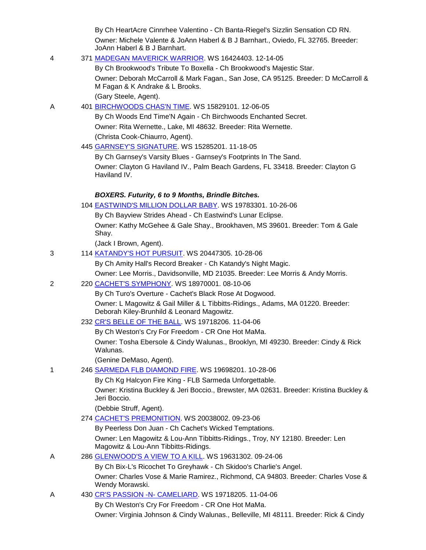|   | By Ch HeartAcre Cinnrhee Valentino - Ch Banta-Riegel's Sizzlin Sensation CD RN.                                                             |
|---|---------------------------------------------------------------------------------------------------------------------------------------------|
|   | Owner: Michele Valente & JoAnn Haberl & B J Barnhart., Oviedo, FL 32765. Breeder:<br>JoAnn Haberl & B J Barnhart.                           |
| 4 | 371 MADEGAN MAVERICK WARRIOR. WS 16424403. 12-14-05                                                                                         |
|   | By Ch Brookwood's Tribute To Boxella - Ch Brookwood's Majestic Star.                                                                        |
|   | Owner: Deborah McCarroll & Mark Fagan., San Jose, CA 95125. Breeder: D McCarroll &<br>M Fagan & K Andrake & L Brooks.                       |
|   | (Gary Steele, Agent).                                                                                                                       |
| A | 401 BIRCHWOODS CHAS'N TIME. WS 15829101. 12-06-05                                                                                           |
|   | By Ch Woods End Time'N Again - Ch Birchwoods Enchanted Secret.                                                                              |
|   | Owner: Rita Wernette., Lake, MI 48632. Breeder: Rita Wernette.                                                                              |
|   | (Christa Cook-Chiaurro, Agent).                                                                                                             |
|   | 445 GARNSEY'S SIGNATURE. WS 15285201. 11-18-05                                                                                              |
|   | By Ch Garnsey's Varsity Blues - Garnsey's Footprints In The Sand.                                                                           |
|   | Owner: Clayton G Haviland IV., Palm Beach Gardens, FL 33418. Breeder: Clayton G<br>Haviland IV.                                             |
|   | BOXERS. Futurity, 6 to 9 Months, Brindle Bitches.                                                                                           |
|   | 104 EASTWIND'S MILLION DOLLAR BABY. WS 19783301. 10-26-06                                                                                   |
|   | By Ch Bayview Strides Ahead - Ch Eastwind's Lunar Eclipse.                                                                                  |
|   | Owner: Kathy McGehee & Gale Shay., Brookhaven, MS 39601. Breeder: Tom & Gale<br>Shay.                                                       |
|   | (Jack I Brown, Agent).                                                                                                                      |
| 3 | 114 KATANDY'S HOT PURSUIT. WS 20447305. 10-28-06                                                                                            |
|   | By Ch Amity Hall's Record Breaker - Ch Katandy's Night Magic.                                                                               |
|   | Owner: Lee Morris., Davidsonville, MD 21035. Breeder: Lee Morris & Andy Morris.                                                             |
| 2 | 220 CACHET'S SYMPHONY. WS 18970001. 08-10-06                                                                                                |
|   | By Ch Turo's Overture - Cachet's Black Rose At Dogwood.<br>Owner: L Magowitz & Gail Miller & L Tibbitts-Ridings., Adams, MA 01220. Breeder: |
|   | Deborah Kiley-Brunhild & Leonard Magowitz.                                                                                                  |
|   | 232 CR'S BELLE OF THE BALL. WS 19718206. 11-04-06                                                                                           |
|   | By Ch Weston's Cry For Freedom - CR One Hot MaMa.                                                                                           |
|   | Owner: Tosha Ebersole & Cindy Walunas., Brooklyn, MI 49230. Breeder: Cindy & Rick<br>Walunas.                                               |
|   | (Genine DeMaso, Agent).                                                                                                                     |
| 1 | 246 SARMEDA FLB DIAMOND FIRE. WS 19698201. 10-28-06                                                                                         |
|   | By Ch Kg Halcyon Fire King - FLB Sarmeda Unforgettable.                                                                                     |
|   | Owner: Kristina Buckley & Jeri Boccio., Brewster, MA 02631. Breeder: Kristina Buckley &<br>Jeri Boccio.                                     |
|   | (Debbie Struff, Agent).                                                                                                                     |
|   | 274 CACHET'S PREMONITION. WS 20038002. 09-23-06                                                                                             |
|   | By Peerless Don Juan - Ch Cachet's Wicked Temptations.                                                                                      |
|   | Owner: Len Magowitz & Lou-Ann Tibbitts-Ridings., Troy, NY 12180. Breeder: Len<br>Magowitz & Lou-Ann Tibbitts-Ridings.                       |
| Α | 286 GLENWOOD'S A VIEW TO A KILL. WS 19631302. 09-24-06                                                                                      |
|   | By Ch Bix-L's Ricochet To Greyhawk - Ch Skidoo's Charlie's Angel.                                                                           |
|   | Owner: Charles Vose & Marie Ramirez., Richmond, CA 94803. Breeder: Charles Vose &<br>Wendy Morawski.                                        |
| Α | 430 CR'S PASSION - N- CAMELIARD. WS 19718205. 11-04-06                                                                                      |
|   | By Ch Weston's Cry For Freedom - CR One Hot MaMa.                                                                                           |
|   | Owner: Virginia Johnson & Cindy Walunas., Belleville, MI 48111. Breeder: Rick & Cindy                                                       |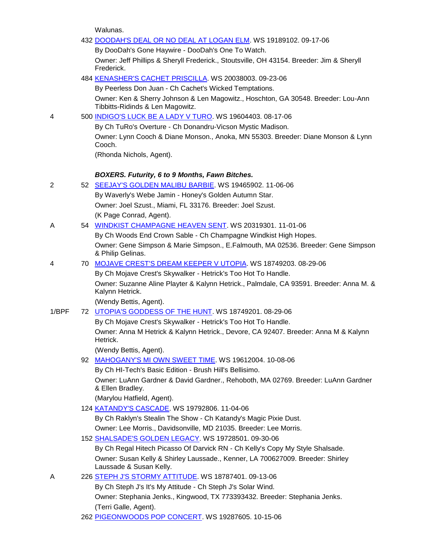Walunas.

|       | 432 DOODAH'S DEAL OR NO DEAL AT LOGAN ELM. WS 19189102. 09-17-06                                                      |
|-------|-----------------------------------------------------------------------------------------------------------------------|
|       | By DooDah's Gone Haywire - DooDah's One To Watch.                                                                     |
|       | Owner: Jeff Phillips & Sheryll Frederick., Stoutsville, OH 43154. Breeder: Jim & Sheryll<br>Frederick.                |
|       | 484 KENASHER'S CACHET PRISCILLA. WS 20038003. 09-23-06                                                                |
|       | By Peerless Don Juan - Ch Cachet's Wicked Temptations.                                                                |
|       | Owner: Ken & Sherry Johnson & Len Magowitz., Hoschton, GA 30548. Breeder: Lou-Ann<br>Tibbitts-Ridinds & Len Magowitz. |
| 4     | 500 INDIGO'S LUCK BE A LADY V TURO. WS 19604403. 08-17-06                                                             |
|       | By Ch TuRo's Overture - Ch Donandru-Vicson Mystic Madison.                                                            |
|       | Owner: Lynn Cooch & Diane Monson., Anoka, MN 55303. Breeder: Diane Monson & Lynn<br>Cooch.                            |
|       | (Rhonda Nichols, Agent).                                                                                              |
|       | <b>BOXERS. Futurity, 6 to 9 Months, Fawn Bitches.</b>                                                                 |
| 2     | 52 SEEJAY'S GOLDEN MALIBU BARBIE. WS 19465902. 11-06-06                                                               |
|       | By Waverly's Webe Jamin - Honey's Golden Autumn Star.                                                                 |
|       | Owner: Joel Szust., Miami, FL 33176. Breeder: Joel Szust.                                                             |
|       | (K Page Conrad, Agent).                                                                                               |
| А     | 54 WINDKIST CHAMPAGNE HEAVEN SENT. WS 20319301. 11-01-06                                                              |
|       | By Ch Woods End Crown Sable - Ch Champagne Windkist High Hopes.                                                       |
|       | Owner: Gene Simpson & Marie Simpson., E.Falmouth, MA 02536. Breeder: Gene Simpson<br>& Philip Gelinas.                |
| 4     | 70 MOJAVE CREST'S DREAM KEEPER V UTOPIA. WS 18749203. 08-29-06                                                        |
|       | By Ch Mojave Crest's Skywalker - Hetrick's Too Hot To Handle.                                                         |
|       | Owner: Suzanne Aline Playter & Kalynn Hetrick., Palmdale, CA 93591. Breeder: Anna M. &<br>Kalynn Hetrick.             |
|       | (Wendy Bettis, Agent).                                                                                                |
| 1/BPF | 72 UTOPIA'S GODDESS OF THE HUNT. WS 18749201. 08-29-06                                                                |
|       | By Ch Mojave Crest's Skywalker - Hetrick's Too Hot To Handle.                                                         |
|       | Owner: Anna M Hetrick & Kalynn Hetrick., Devore, CA 92407. Breeder: Anna M & Kalynn<br>Hetrick.                       |
|       | (Wendy Bettis, Agent).                                                                                                |
|       | 92 MAHOGANY'S MI OWN SWEET TIME. WS 19612004. 10-08-06                                                                |
|       | By Ch HI-Tech's Basic Edition - Brush Hill's Bellisimo.                                                               |
|       | Owner: LuAnn Gardner & David Gardner., Rehoboth, MA 02769. Breeder: LuAnn Gardner<br>& Ellen Bradley.                 |
|       | (Marylou Hatfield, Agent).                                                                                            |
|       | 124 KATANDY'S CASCADE. WS 19792806. 11-04-06                                                                          |
|       | By Ch Raklyn's Stealin The Show - Ch Katandy's Magic Pixie Dust.                                                      |
|       | Owner: Lee Morris., Davidsonville, MD 21035. Breeder: Lee Morris.                                                     |
|       | 152 SHALSADE'S GOLDEN LEGACY. WS 19728501. 09-30-06                                                                   |
|       | By Ch Regal Hitech Picasso Of Darvick RN - Ch Kelly's Copy My Style Shalsade.                                         |
|       | Owner: Susan Kelly & Shirley Laussade., Kenner, LA 700627009. Breeder: Shirley<br>Laussade & Susan Kelly.             |
| A     | 226 STEPH J'S STORMY ATTITUDE WS 18787401.09-13-06                                                                    |
|       | By Ch Steph J's It's My Attitude - Ch Steph J's Solar Wind.                                                           |
|       | Owner: Stephania Jenks., Kingwood, TX 773393432. Breeder: Stephania Jenks.                                            |
|       | (Terri Galle, Agent).                                                                                                 |
|       | 262 PIGEONWOODS POP CONCERT. WS 19287605. 10-15-06                                                                    |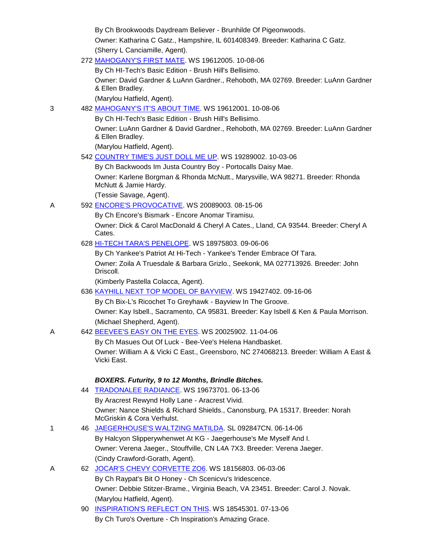By Ch Brookwoods Daydream Believer - Brunhilde Of Pigeonwoods. Owner: Katharina C Gatz., Hampshire, IL 601408349. Breeder: Katharina C Gatz. (Sherry L Canciamille, Agent).

272 [MAHOGANY'S FIRST MATE.](http://canis.infodog.com/files/bdogrsl1.prg;makc=WS_19612005;mdog=Mahogany_s_First_Mate;wins=all) WS 19612005. 10-08-06

By Ch HI-Tech's Basic Edition - Brush Hill's Bellisimo.

Owner: David Gardner & LuAnn Gardner., Rehoboth, MA 02769. Breeder: LuAnn Gardner & Ellen Bradley.

(Marylou Hatfield, Agent).

3 482 [MAHOGANY'S IT'S ABOUT TIME.](http://canis.infodog.com/files/bdogrsl1.prg;makc=WS_19612001;mdog=Mahogany_s_It_s_About_Time;wins=all) WS 19612001. 10-08-06

By Ch HI-Tech's Basic Edition - Brush Hill's Bellisimo.

Owner: LuAnn Gardner & David Gardner., Rehoboth, MA 02769. Breeder: LuAnn Gardner & Ellen Bradley.

(Marylou Hatfield, Agent).

542 [COUNTRY TIME'S JUST DOLL ME UP.](http://canis.infodog.com/files/bdogrsl1.prg;makc=WS_19289002;mdog=Country_Time_s_Just_Doll_Me_Up;wins=all) WS 19289002. 10-03-06

By Ch Backwoods Im Justa Country Boy - Portocalls Daisy Mae.

Owner: Karlene Borgman & Rhonda McNutt., Marysville, WA 98271. Breeder: Rhonda McNutt & Jamie Hardy.

(Tessie Savage, Agent).

A 592 [ENCORE'S PROVOCATIVE.](http://canis.infodog.com/files/bdogrsl1.prg;makc=WS_20089003;mdog=Encore_s_Provocative;wins=all) WS 20089003. 08-15-06

By Ch Encore's Bismark - Encore Anomar Tiramisu.

Owner: Dick & Carol MacDonald & Cheryl A Cates., Lland, CA 93544. Breeder: Cheryl A Cates.

628 [HI-TECH TARA'S PENELOPE.](http://canis.infodog.com/files/bdogrsl1.prg;makc=WS_18975803;mdog=Hi-Tech_Tara_s_Penelope;wins=all) WS 18975803. 09-06-06

By Ch Yankee's Patriot At Hi-Tech - Yankee's Tender Embrace Of Tara. Owner: Zoila A Truesdale & Barbara Grizlo., Seekonk, MA 027713926. Breeder: John Driscoll.

(Kimberly Pastella Colacca, Agent).

636 [KAYHILL NEXT TOP MODEL OF BAYVIEW.](http://canis.infodog.com/files/bdogrsl1.prg;makc=WS_19427402;mdog=Kayhill_Next_Top_Model_Of_Bayview;wins=all) WS 19427402. 09-16-06

By Ch Bix-L's Ricochet To Greyhawk - Bayview In The Groove.

Owner: Kay Isbell., Sacramento, CA 95831. Breeder: Kay Isbell & Ken & Paula Morrison. (Michael Shepherd, Agent).

A 642 [BEEVEE'S EASY ON THE EYES.](http://canis.infodog.com/files/bdogrsl1.prg;makc=WS_20025902;mdog=Beevee_s_Easy_On_The_Eyes;wins=all) WS 20025902. 11-04-06

By Ch Masues Out Of Luck - Bee-Vee's Helena Handbasket.

Owner: William A & Vicki C East., Greensboro, NC 274068213. Breeder: William A East & Vicki East.

## *BOXERS. Futurity, 9 to 12 Months, Brindle Bitches.*

- 44 [TRADONALEE RADIANCE.](http://canis.infodog.com/files/bdogrsl1.prg;makc=WS_19673701;mdog=Tradonalee_Radiance;wins=all) WS 19673701. 06-13-06 By Aracrest Rewynd Holly Lane - Aracrest Vivid. Owner: Nance Shields & Richard Shields., Canonsburg, PA 15317. Breeder: Norah McGriskin & Cora Verhulst. 1 46 [JAEGERHOUSE'S WALTZING MATILDA.](http://canis.infodog.com/files/bdogrsl1.prg;makc=SL_092847CN;mdog=Jaegerhouse_s_Waltzing_Matilda;wins=all) SL 092847CN. 06-14-06 By Halcyon Slipperywhenwet At KG - Jaegerhouse's Me Myself And I. Owner: Verena Jaeger., Stouffville, CN L4A 7X3. Breeder: Verena Jaeger. (Cindy Crawford-Gorath, Agent). A 62 [JOCAR'S CHEVY CORVETTE ZO6.](http://canis.infodog.com/files/bdogrsl1.prg;makc=WS_18156803;mdog=JoCar_s_Chevy_Corvette_ZO6;wins=all) WS 18156803. 06-03-06 By Ch Raypat's Bit O Honey - Ch Scenicvu's Iridescence. Owner: Debbie Stitzer-Brame., Virginia Beach, VA 23451. Breeder: Carol J. Novak. (Marylou Hatfield, Agent).
	- 90 [INSPIRATION'S REFLECT ON THIS.](http://canis.infodog.com/files/bdogrsl1.prg;makc=WS_18545301;mdog=Inspiration_s_Reflect_On_This;wins=all) WS 18545301. 07-13-06 By Ch Turo's Overture - Ch Inspiration's Amazing Grace.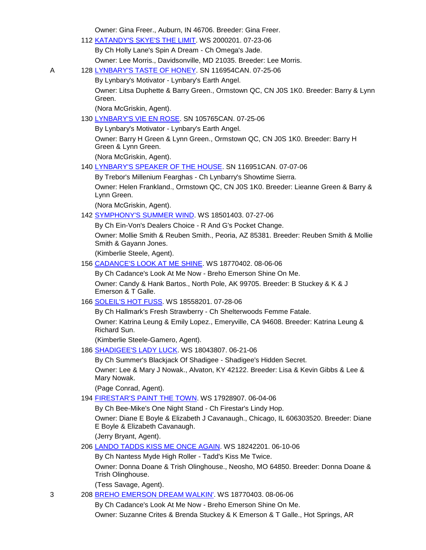Owner: Gina Freer., Auburn, IN 46706. Breeder: Gina Freer.

| 10.101. Olita Floor., Awartii, IIN 407 00. Diccaet. Olita Flo                                                          |
|------------------------------------------------------------------------------------------------------------------------|
| 112 KATANDY'S SKYE'S THE LIMIT. WS 2000201. 07-23-06                                                                   |
| By Ch Holly Lane's Spin A Dream - Ch Omega's Jade.                                                                     |
| Owner: Lee Morris., Davidsonville, MD 21035. Breeder: Lee Morris.                                                      |
| 128 LYNBARY'S TASTE OF HONEY. SN 116954CAN. 07-25-06                                                                   |
| By Lynbary's Motivator - Lynbary's Earth Angel.                                                                        |
| Owner: Litsa Duphette & Barry Green., Ormstown QC, CN J0S 1K0. Breeder: Barry & Lynn<br>Green.                         |
| (Nora McGriskin, Agent).                                                                                               |
| 130 LYNBARY'S VIE EN ROSE. SN 105765CAN. 07-25-06                                                                      |
| By Lynbary's Motivator - Lynbary's Earth Angel.                                                                        |
| Owner: Barry H Green & Lynn Green., Ormstown QC, CN J0S 1K0. Breeder: Barry H<br>Green & Lynn Green.                   |
| (Nora McGriskin, Agent).                                                                                               |
| 140 LYNBARY'S SPEAKER OF THE HOUSE. SN 116951CAN. 07-07-06                                                             |
| By Trebor's Millenium Fearghas - Ch Lynbarry's Showtime Sierra.                                                        |
| Owner: Helen Frankland., Ormstown QC, CN J0S 1K0. Breeder: Lieanne Green & Barry &<br>Lynn Green.                      |
| (Nora McGriskin, Agent).                                                                                               |
| 142 SYMPHONY'S SUMMER WIND. WS 18501403. 07-27-06                                                                      |
| By Ch Ein-Von's Dealers Choice - R And G's Pocket Change.                                                              |
| Owner: Mollie Smith & Reuben Smith., Peoria, AZ 85381. Breeder: Reuben Smith & Mollie<br>Smith & Gayann Jones.         |
| (Kimberlie Steele, Agent).                                                                                             |
| 156 CADANCE'S LOOK AT ME SHINE. WS 18770402. 08-06-06                                                                  |
| By Ch Cadance's Look At Me Now - Breho Emerson Shine On Me.                                                            |
| Owner: Candy & Hank Bartos., North Pole, AK 99705. Breeder: B Stuckey & K & J<br>Emerson & T Galle.                    |
| 166 SOLEIL'S HOT FUSS. WS 18558201. 07-28-06                                                                           |
| By Ch Hallmark's Fresh Strawberry - Ch Shelterwoods Femme Fatale.                                                      |
| Owner: Katrina Leung & Emily Lopez., Emeryville, CA 94608. Breeder: Katrina Leung &<br>Richard Sun.                    |
| (Kimberlie Steele-Gamero, Agent).                                                                                      |
| 186 SHADIGEE'S LADY LUCK. WS 18043807. 06-21-06                                                                        |
| By Ch Summer's Blackjack Of Shadigee - Shadigee's Hidden Secret.                                                       |
| Owner: Lee & Mary J Nowak., Alvaton, KY 42122. Breeder: Lisa & Kevin Gibbs & Lee &<br>Mary Nowak.                      |
| (Page Conrad, Agent).                                                                                                  |
| 194 FIRESTAR'S PAINT THE TOWN. WS 17928907. 06-04-06                                                                   |
| By Ch Bee-Mike's One Night Stand - Ch Firestar's Lindy Hop.                                                            |
| Owner: Diane E Boyle & Elizabeth J Cavanaugh., Chicago, IL 606303520. Breeder: Diane<br>E Boyle & Elizabeth Cavanaugh. |
| (Jerry Bryant, Agent).                                                                                                 |
| 206 LANDO TADDS KISS ME ONCE AGAIN. WS 18242201. 06-10-06                                                              |
| By Ch Nantess Myde High Roller - Tadd's Kiss Me Twice.                                                                 |
| Owner: Donna Doane & Trish Olinghouse., Neosho, MO 64850. Breeder: Donna Doane &<br>Trish Olinghouse.                  |
| (Tess Savage, Agent).                                                                                                  |
| 208 BREHO EMERSON DREAM WALKIN'. WS 18770403. 08-06-06                                                                 |

By Ch Cadance's Look At Me Now - Breho Emerson Shine On Me. Owner: Suzanne Crites & Brenda Stuckey & K Emerson & T Galle., Hot Springs, AR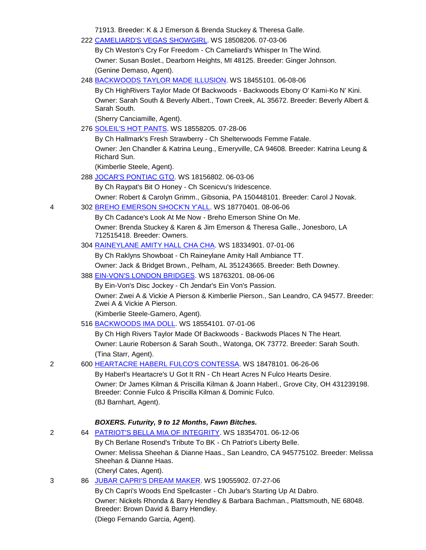71913. Breeder: K & J Emerson & Brenda Stuckey & Theresa Galle.

|   | 71913. Breeder: K & J Emerson & Brenda Stuckey & Theresa Galle.                                                                                   |
|---|---------------------------------------------------------------------------------------------------------------------------------------------------|
|   | 222 CAMELIARD'S VEGAS SHOWGIRL. WS 18508206. 07-03-06                                                                                             |
|   | By Ch Weston's Cry For Freedom - Ch Cameliard's Whisper In The Wind.                                                                              |
|   | Owner: Susan Boslet., Dearborn Heights, MI 48125. Breeder: Ginger Johnson.                                                                        |
|   | (Genine Demaso, Agent).                                                                                                                           |
|   | 248 BACKWOODS TAYLOR MADE ILLUSION. WS 18455101. 06-08-06                                                                                         |
|   | By Ch HighRivers Taylor Made Of Backwoods - Backwoods Ebony O' Kami-Ko N' Kini.                                                                   |
|   | Owner: Sarah South & Beverly Albert., Town Creek, AL 35672. Breeder: Beverly Albert &                                                             |
|   | Sarah South.                                                                                                                                      |
|   | (Sherry Canciamille, Agent).                                                                                                                      |
|   | 276 SOLEIL'S HOT PANTS. WS 18558205. 07-28-06                                                                                                     |
|   | By Ch Hallmark's Fresh Strawberry - Ch Shelterwoods Femme Fatale.                                                                                 |
|   | Owner: Jen Chandler & Katrina Leung., Emeryville, CA 94608. Breeder: Katrina Leung &<br>Richard Sun.                                              |
|   | (Kimberlie Steele, Agent).                                                                                                                        |
|   | 288 JOCAR'S PONTIAC GTO. WS 18156802. 06-03-06                                                                                                    |
|   | By Ch Raypat's Bit O Honey - Ch Scenicvu's Iridescence.                                                                                           |
|   | Owner: Robert & Carolyn Grimm., Gibsonia, PA 150448101. Breeder: Carol J Novak.                                                                   |
| 4 | 302 BREHO EMERSON SHOCK'N Y'ALL. WS 18770401. 08-06-06                                                                                            |
|   | By Ch Cadance's Look At Me Now - Breho Emerson Shine On Me.                                                                                       |
|   | Owner: Brenda Stuckey & Karen & Jim Emerson & Theresa Galle., Jonesboro, LA<br>712515418. Breeder: Owners.                                        |
|   | 304 RAINEYLANE AMITY HALL CHA CHA. WS 18334901. 07-01-06                                                                                          |
|   | By Ch Raklyns Showboat - Ch Raineylane Amity Hall Ambiance TT.                                                                                    |
|   | Owner: Jack & Bridget Brown., Pelham, AL 351243665. Breeder: Beth Downey.                                                                         |
|   | 388 EIN-VON'S LONDON BRIDGES WS 18763201.08-06-06                                                                                                 |
|   | By Ein-Von's Disc Jockey - Ch Jendar's Ein Von's Passion.                                                                                         |
|   | Owner: Zwei A & Vickie A Pierson & Kimberlie Pierson., San Leandro, CA 94577. Breeder:<br>Zwei A & Vickie A Pierson.                              |
|   | (Kimberlie Steele-Gamero, Agent).                                                                                                                 |
|   | 516 BACKWOODS IMA DOLL. WS 18554101. 07-01-06                                                                                                     |
|   | By Ch High Rivers Taylor Made Of Backwoods - Backwods Places N The Heart.                                                                         |
|   | Owner: Laurie Roberson & Sarah South., Watonga, OK 73772. Breeder: Sarah South.                                                                   |
|   | (Tina Starr, Agent).                                                                                                                              |
| 2 | 600 HEARTACRE HABERL FULCO'S CONTESSA. WS 18478101. 06-26-06                                                                                      |
|   | By Haberl's Heartacre's U Got It RN - Ch Heart Acres N Fulco Hearts Desire.                                                                       |
|   | Owner: Dr James Kilman & Priscilla Kilman & Joann Haberl., Grove City, OH 431239198.<br>Breeder: Connie Fulco & Priscilla Kilman & Dominic Fulco. |
|   | (BJ Barnhart, Agent).                                                                                                                             |
|   | <b>BOXERS. Futurity, 9 to 12 Months, Fawn Bitches.</b>                                                                                            |
| 2 | 64 PATRIOT'S BELLA MIA OF INTEGRITY. WS 18354701. 06-12-06                                                                                        |
|   | By Ch Berlane Rosend's Tribute To BK - Ch Patriot's Liberty Belle.                                                                                |
|   | Owner: Melissa Sheehan & Dianne Haas., San Leandro, CA 945775102. Breeder: Melissa<br>Sheehan & Dianne Haas.                                      |
|   | (Cheryl Cates, Agent).                                                                                                                            |
| 3 | 86 JUBAR CAPRI'S DREAM MAKER. WS 19055902. 07-27-06                                                                                               |
|   | By Ch Capri's Woods End Spellcaster - Ch Jubar's Starting Up At Dabro.                                                                            |
|   | Owner: Nickels Rhonda & Barry Hendley & Barbara Bachman., Plattsmouth, NE 68048.<br>Breeder: Brown David & Barry Hendley.                         |

(Diego Fernando Garcia, Agent).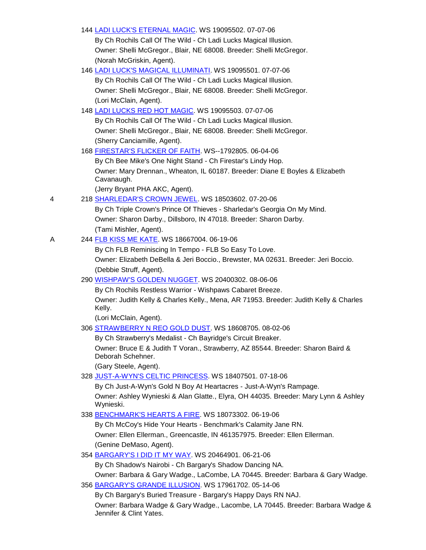|   | 144 LADI LUCK'S ETERNAL MAGIC. WS 19095502. 07-07-06                                                 |
|---|------------------------------------------------------------------------------------------------------|
|   | By Ch Rochils Call Of The Wild - Ch Ladi Lucks Magical Illusion.                                     |
|   | Owner: Shelli McGregor., Blair, NE 68008. Breeder: Shelli McGregor.                                  |
|   | (Norah McGriskin, Agent).                                                                            |
|   | 146 LADI LUCK'S MAGICAL ILLUMINATI. WS 19095501. 07-07-06                                            |
|   | By Ch Rochils Call Of The Wild - Ch Ladi Lucks Magical Illusion.                                     |
|   | Owner: Shelli McGregor., Blair, NE 68008. Breeder: Shelli McGregor.                                  |
|   | (Lori McClain, Agent).                                                                               |
|   | 148 LADI LUCKS RED HOT MAGIC. WS 19095503. 07-07-06                                                  |
|   | By Ch Rochils Call Of The Wild - Ch Ladi Lucks Magical Illusion.                                     |
|   | Owner: Shelli McGregor., Blair, NE 68008. Breeder: Shelli McGregor.                                  |
|   | (Sherry Canciamille, Agent).                                                                         |
|   | 168 FIRESTAR'S FLICKER OF FAITH. WS--1792805. 06-04-06                                               |
|   | By Ch Bee Mike's One Night Stand - Ch Firestar's Lindy Hop.                                          |
|   | Owner: Mary Drennan., Wheaton, IL 60187. Breeder: Diane E Boyles & Elizabeth<br>Cavanaugh.           |
|   | (Jerry Bryant PHA AKC, Agent).                                                                       |
| 4 | 218 SHARLEDAR'S CROWN JEWEL. WS 18503602. 07-20-06                                                   |
|   | By Ch Triple Crown's Prince Of Thieves - Sharledar's Georgia On My Mind.                             |
|   | Owner: Sharon Darby., Dillsboro, IN 47018. Breeder: Sharon Darby.                                    |
|   | (Tami Mishler, Agent).                                                                               |
| A | 244 FLB KISS ME KATE. WS 18667004. 06-19-06                                                          |
|   | By Ch FLB Reminiscing In Tempo - FLB So Easy To Love.                                                |
|   | Owner: Elizabeth DeBella & Jeri Boccio., Brewster, MA 02631. Breeder: Jeri Boccio.                   |
|   | (Debbie Struff, Agent).                                                                              |
|   | 290 WISHPAW'S GOLDEN NUGGET. WS 20400302. 08-06-06                                                   |
|   | By Ch Rochils Restless Warrior - Wishpaws Cabaret Breeze.                                            |
|   | Owner: Judith Kelly & Charles Kelly., Mena, AR 71953. Breeder: Judith Kelly & Charles<br>Kelly.      |
|   | (Lori McClain, Agent).                                                                               |
|   | 306 STRAWBERRY N REO GOLD DUST. WS 18608705. 08-02-06                                                |
|   | By Ch Strawberry's Medalist - Ch Bayridge's Circuit Breaker.                                         |
|   | Owner: Bruce E & Judith T Voran., Strawberry, AZ 85544. Breeder: Sharon Baird &<br>Deborah Schehner. |
|   | (Gary Steele, Agent).                                                                                |
|   | 328 JUST-A-WYN'S CELTIC PRINCESS. WS 18407501. 07-18-06                                              |
|   | By Ch Just-A-Wyn's Gold N Boy At Heartacres - Just-A-Wyn's Rampage.                                  |
|   | Owner: Ashley Wynieski & Alan Glatte., Elyra, OH 44035. Breeder: Mary Lynn & Ashley<br>Wynieski.     |
|   | 338 BENCHMARK'S HEARTS A FIRE. WS 18073302. 06-19-06                                                 |
|   | By Ch McCoy's Hide Your Hearts - Benchmark's Calamity Jane RN.                                       |
|   | Owner: Ellen Ellerman., Greencastle, IN 461357975. Breeder: Ellen Ellerman.                          |
|   | (Genine DeMaso, Agent).                                                                              |
|   | 354 BARGARY'S I DID IT MY WAY. WS 20464901. 06-21-06                                                 |
|   | By Ch Shadow's Nairobi - Ch Bargary's Shadow Dancing NA.                                             |
|   | Owner: Barbara & Gary Wadge., LaCombe, LA 70445. Breeder: Barbara & Gary Wadge.                      |
|   | 356 BARGARY'S GRANDE ILLUSION. WS 17961702. 05-14-06                                                 |
|   | By Ch Bargary's Buried Treasure - Bargary's Happy Days RN NAJ.                                       |

Owner: Barbara Wadge & Gary Wadge., Lacombe, LA 70445. Breeder: Barbara Wadge & Jennifer & Clint Yates.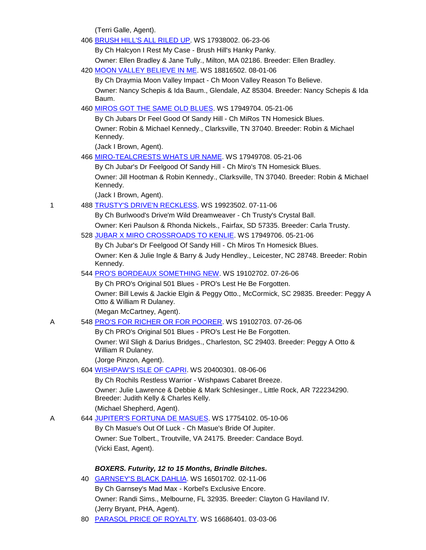(Terri Galle, Agent).

|   | 406 BRUSH HILL'S ALL RILED UP. WS 17938002. 06-23-06                                                                     |
|---|--------------------------------------------------------------------------------------------------------------------------|
|   | By Ch Halcyon I Rest My Case - Brush Hill's Hanky Panky.                                                                 |
|   | Owner: Ellen Bradley & Jane Tully., Milton, MA 02186. Breeder: Ellen Bradley.                                            |
|   | 420 MOON VALLEY BELIEVE IN ME. WS 18816502. 08-01-06                                                                     |
|   | By Ch Draymia Moon Valley Impact - Ch Moon Valley Reason To Believe.                                                     |
|   | Owner: Nancy Schepis & Ida Baum., Glendale, AZ 85304. Breeder: Nancy Schepis & Ida                                       |
|   | Baum.                                                                                                                    |
|   | 460 MIROS GOT THE SAME OLD BLUES. WS 17949704. 05-21-06                                                                  |
|   | By Ch Jubars Dr Feel Good Of Sandy Hill - Ch MiRos TN Homesick Blues.                                                    |
|   | Owner: Robin & Michael Kennedy., Clarksville, TN 37040. Breeder: Robin & Michael<br>Kennedy.                             |
|   | (Jack I Brown, Agent).                                                                                                   |
|   | 466 MIRO-TEALCRESTS WHATS UR NAME. WS 17949708. 05-21-06                                                                 |
|   | By Ch Jubar's Dr Feelgood Of Sandy Hill - Ch Miro's TN Homesick Blues.                                                   |
|   | Owner: Jill Hootman & Robin Kennedy., Clarksville, TN 37040. Breeder: Robin & Michael<br>Kennedy.                        |
|   | (Jack I Brown, Agent).                                                                                                   |
| 1 | 488 TRUSTY'S DRIVE'N RECKLESS. WS 19923502. 07-11-06                                                                     |
|   | By Ch Burlwood's Drive'm Wild Dreamweaver - Ch Trusty's Crystal Ball.                                                    |
|   | Owner: Keri Paulson & Rhonda Nickels., Fairfax, SD 57335. Breeder: Carla Trusty.                                         |
|   | 528 JUBAR X MIRO CROSSROADS TO KENLIE. WS 17949706. 05-21-06                                                             |
|   | By Ch Jubar's Dr Feelgood Of Sandy Hill - Ch Miros Tn Homesick Blues.                                                    |
|   | Owner: Ken & Julie Ingle & Barry & Judy Hendley., Leicester, NC 28748. Breeder: Robin<br>Kennedy.                        |
|   | 544 PRO'S BORDEAUX SOMETHING NEW. WS 19102702. 07-26-06                                                                  |
|   | By Ch PRO's Original 501 Blues - PRO's Lest He Be Forgotten.                                                             |
|   | Owner: Bill Lewis & Jackie Elgin & Peggy Otto., McCormick, SC 29835. Breeder: Peggy A<br>Otto & William R Dulaney.       |
|   | (Megan McCartney, Agent).                                                                                                |
| Α | 548 PRO'S FOR RICHER OR FOR POORER. WS 19102703. 07-26-06                                                                |
|   | By Ch PRO's Original 501 Blues - PRO's Lest He Be Forgotten.                                                             |
|   | Owner: Wil Sligh & Darius Bridges., Charleston, SC 29403. Breeder: Peggy A Otto &<br>William R Dulaney.                  |
|   | (Jorge Pinzon, Agent).                                                                                                   |
|   | 604 WISHPAW'S ISLE OF CAPRI. WS 20400301. 08-06-06                                                                       |
|   | By Ch Rochils Restless Warrior - Wishpaws Cabaret Breeze.                                                                |
|   | Owner: Julie Lawrence & Debbie & Mark Schlesinger., Little Rock, AR 722234290.<br>Breeder: Judith Kelly & Charles Kelly. |
|   | (Michael Shepherd, Agent).                                                                                               |
| Α | 644 JUPITER'S FORTUNA DE MASUES. WS 17754102. 05-10-06                                                                   |
|   | By Ch Masue's Out Of Luck - Ch Masue's Bride Of Jupiter.                                                                 |
|   | Owner: Sue Tolbert., Troutville, VA 24175. Breeder: Candace Boyd.                                                        |
|   | (Vicki East, Agent).                                                                                                     |
|   | BOXERS. Futurity, 12 to 15 Months, Brindle Bitches.                                                                      |
|   | 40 GARNSEY'S BLACK DAHLIA. WS 16501702. 02-11-06                                                                         |
|   | By Ch Garnsey's Mad Max - Korbel's Exclusive Encore.                                                                     |
|   | Owner: Randi Sims., Melbourne, FL 32935. Breeder: Clayton G Haviland IV.                                                 |
|   | (Jerry Bryant, PHA, Agent).                                                                                              |

80 [PARASOL PRICE OF ROYALTY.](http://canis.infodog.com/files/bdogrsl1.prg;makc=WS_16686401;mdog=Parasol_Price_Of_Royalty;wins=all) WS 16686401. 03-03-06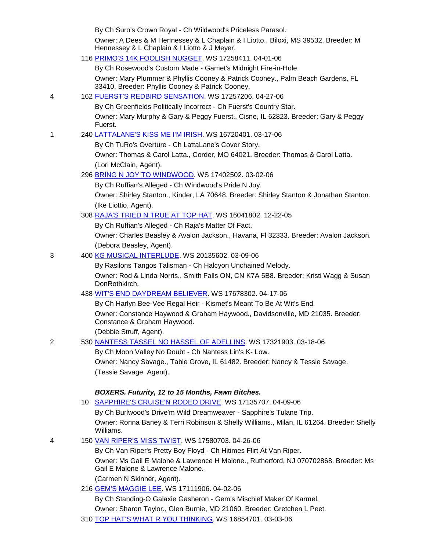|   | By Ch Suro's Crown Royal - Ch Wildwood's Priceless Parasol.                                                                           |
|---|---------------------------------------------------------------------------------------------------------------------------------------|
|   | Owner: A Dees & M Hennessey & L Chaplain & I Liotto., Biloxi, MS 39532. Breeder: M<br>Hennessey & L Chaplain & I Liotto & J Meyer.    |
|   | 116 PRIMO'S 14K FOOLISH NUGGET. WS 17258411. 04-01-06                                                                                 |
|   | By Ch Rosewood's Custom Made - Gamet's Midnight Fire-in-Hole.                                                                         |
|   | Owner: Mary Plummer & Phyllis Cooney & Patrick Cooney., Palm Beach Gardens, FL<br>33410. Breeder: Phyllis Cooney & Patrick Cooney.    |
| 4 | 162 FUERST'S REDBIRD SENSATION. WS 17257206. 04-27-06                                                                                 |
|   | By Ch Greenfields Politically Incorrect - Ch Fuerst's Country Star.                                                                   |
|   | Owner: Mary Murphy & Gary & Peggy Fuerst., Cisne, IL 62823. Breeder: Gary & Peggy<br>Fuerst.                                          |
| 1 | 240 LATTALANE'S KISS ME I'M IRISH. WS 16720401. 03-17-06                                                                              |
|   | By Ch TuRo's Overture - Ch LattaLane's Cover Story.                                                                                   |
|   | Owner: Thomas & Carol Latta., Corder, MO 64021. Breeder: Thomas & Carol Latta.                                                        |
|   | (Lori McClain, Agent).                                                                                                                |
|   | 296 BRING N JOY TO WINDWOOD. WS 17402502. 03-02-06                                                                                    |
|   | By Ch Ruffian's Alleged - Ch Windwood's Pride N Joy.                                                                                  |
|   | Owner: Shirley Stanton., Kinder, LA 70648. Breeder: Shirley Stanton & Jonathan Stanton.                                               |
|   | (Ike Liottio, Agent).                                                                                                                 |
|   | 308 RAJA'S TRIED N TRUE AT TOP HAT. WS 16041802. 12-22-05                                                                             |
|   | By Ch Ruffian's Alleged - Ch Raja's Matter Of Fact.                                                                                   |
|   | Owner: Charles Beasley & Avalon Jackson., Havana, FI 32333. Breeder: Avalon Jackson.                                                  |
|   | (Debora Beasley, Agent).                                                                                                              |
| 3 | 400 KG MUSICAL INTERLUDE. WS 20135602. 03-09-06                                                                                       |
|   | By Rasilons Tangos Talisman - Ch Halcyon Unchained Melody.                                                                            |
|   | Owner: Rod & Linda Norris., Smith Falls ON, CN K7A 5B8. Breeder: Kristi Wagg & Susan<br>DonRothkirch.                                 |
|   | 438 WIT'S END DAYDREAM BELIEVER. WS 17678302. 04-17-06                                                                                |
|   | By Ch Harlyn Bee-Vee Regal Heir - Kismet's Meant To Be At Wit's End.                                                                  |
|   | Owner: Constance Haywood & Graham Haywood., Davidsonville, MD 21035. Breeder:<br>Constance & Graham Haywood.                          |
| 2 | (Debbie Struff, Agent).                                                                                                               |
|   | 530 NANTESS TASSEL NO HASSEL OF ADELLINS. WS 17321903. 03-18-06                                                                       |
|   | By Ch Moon Valley No Doubt - Ch Nantess Lin's K- Low.<br>Owner: Nancy Savage., Table Grove, IL 61482. Breeder: Nancy & Tessie Savage. |
|   | (Tessie Savage, Agent).                                                                                                               |
|   | BOXERS. Futurity, 12 to 15 Months, Fawn Bitches.                                                                                      |
|   | 10 SAPPHIRE'S CRUISE'N RODEO DRIVE. WS 17135707. 04-09-06                                                                             |
|   | By Ch Burlwood's Drive'm Wild Dreamweaver - Sapphire's Tulane Trip.                                                                   |
|   | Owner: Ronna Baney & Terri Robinson & Shelly Williams., Milan, IL 61264. Breeder: Shelly<br>Williams.                                 |
| 4 | 150 VAN RIPER'S MISS TWIST. WS 17580703. 04-26-06                                                                                     |
|   | By Ch Van Riper's Pretty Boy Floyd - Ch Hitimes Flirt At Van Riper.                                                                   |
|   | Owner: Ms Gail E Malone & Lawrence H Malone., Rutherford, NJ 070702868. Breeder: Ms<br>Gail E Malone & Lawrence Malone.               |
|   | (Carmen N Skinner, Agent).                                                                                                            |
|   | 216 GEM'S MAGGIE LEE. WS 17111906. 04-02-06                                                                                           |
|   | By Ch Standing-O Galaxie Gasheron - Gem's Mischief Maker Of Karmel.                                                                   |
|   | Owner: Sharon Taylor., Glen Burnie, MD 21060. Breeder: Gretchen L Peet.                                                               |
|   | 210 TOD HAT'S WHAT D VOLLTHINKING WIS 16954701 02 02 06                                                                               |

310 <u>TOP HAT'S WHAT R YOU THINKING</u>. WS 16854701. 03-03-06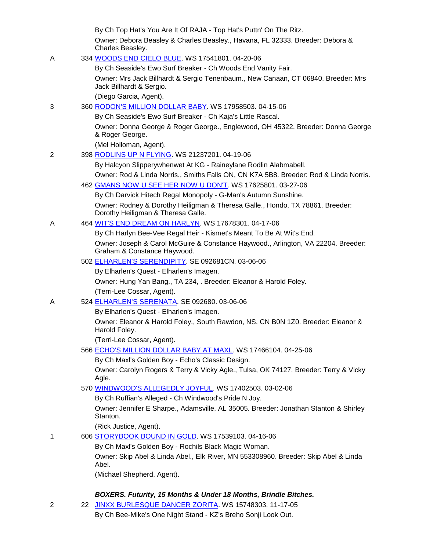|   |    | By Ch Top Hat's You Are It Of RAJA - Top Hat's Puttn' On The Ritz.                                                  |
|---|----|---------------------------------------------------------------------------------------------------------------------|
|   |    | Owner: Debora Beasley & Charles Beasley., Havana, FL 32333. Breeder: Debora &<br>Charles Beasley.                   |
| A |    | 334 WOODS END CIELO BLUE. WS 17541801. 04-20-06                                                                     |
|   |    | By Ch Seaside's Ewo Surf Breaker - Ch Woods End Vanity Fair.                                                        |
|   |    | Owner: Mrs Jack Billhardt & Sergio Tenenbaum., New Canaan, CT 06840. Breeder: Mrs                                   |
|   |    | Jack Billhardt & Sergio.                                                                                            |
|   |    | (Diego Garcia, Agent).                                                                                              |
| 3 |    | 360 RODON'S MILLION DOLLAR BABY. WS 17958503. 04-15-06                                                              |
|   |    | By Ch Seaside's Ewo Surf Breaker - Ch Kaja's Little Rascal.                                                         |
|   |    | Owner: Donna George & Roger George., Englewood, OH 45322. Breeder: Donna George<br>& Roger George.                  |
|   |    | (Mel Holloman, Agent).                                                                                              |
| 2 |    | 398 RODLINS UP N FLYING. WS 21237201. 04-19-06                                                                      |
|   |    | By Halcyon Slipperywhenwet At KG - Raineylane Rodlin Alabmabell.                                                    |
|   |    | Owner: Rod & Linda Norris., Smiths Falls ON, CN K7A 5B8. Breeder: Rod & Linda Norris.                               |
|   |    | 462 GMANS NOW U SEE HER NOW U DON'T. WS 17625801. 03-27-06                                                          |
|   |    | By Ch Darvick Hitech Regal Monopoly - G-Man's Autumn Sunshine.                                                      |
|   |    | Owner: Rodney & Dorothy Heiligman & Theresa Galle., Hondo, TX 78861. Breeder:<br>Dorothy Heiligman & Theresa Galle. |
| Α |    | 464 WIT'S END DREAM ON HARLYN. WS 17678301. 04-17-06                                                                |
|   |    | By Ch Harlyn Bee-Vee Regal Heir - Kismet's Meant To Be At Wit's End.                                                |
|   |    | Owner: Joseph & Carol McGuire & Constance Haywood., Arlington, VA 22204. Breeder:<br>Graham & Constance Haywood.    |
|   |    | 502 ELHARLEN'S SERENDIPITY SE 092681CN. 03-06-06                                                                    |
|   |    | By Elharlen's Quest - Elharlen's Imagen.                                                                            |
|   |    | Owner: Hung Yan Bang., TA 234, . Breeder: Eleanor & Harold Foley.                                                   |
|   |    | (Terri-Lee Cossar, Agent).                                                                                          |
| Α |    | 524 ELHARLEN'S SERENATA. SE 092680. 03-06-06                                                                        |
|   |    | By Elharlen's Quest - Elharlen's Imagen.                                                                            |
|   |    | Owner: Eleanor & Harold Foley., South Rawdon, NS, CN B0N 1Z0. Breeder: Eleanor &<br>Harold Foley.                   |
|   |    | (Terri-Lee Cossar, Agent).                                                                                          |
|   |    | 566 ECHO'S MILLION DOLLAR BABY AT MAXL. WS 17466104. 04-25-06                                                       |
|   |    | By Ch Maxl's Golden Boy - Echo's Classic Design.                                                                    |
|   |    | Owner: Carolyn Rogers & Terry & Vicky Agle., Tulsa, OK 74127. Breeder: Terry & Vicky<br>Agle.                       |
|   |    | 570 WINDWOOD'S ALLEGEDLY JOYFUL. WS 17402503. 03-02-06                                                              |
|   |    | By Ch Ruffian's Alleged - Ch Windwood's Pride N Joy.                                                                |
|   |    | Owner: Jennifer E Sharpe., Adamsville, AL 35005. Breeder: Jonathan Stanton & Shirley<br>Stanton.                    |
|   |    | (Rick Justice, Agent).                                                                                              |
| 1 |    | 606 STORYBOOK BOUND IN GOLD. WS 17539103. 04-16-06                                                                  |
|   |    | By Ch Maxl's Golden Boy - Rochils Black Magic Woman.                                                                |
|   |    | Owner: Skip Abel & Linda Abel., Elk River, MN 553308960. Breeder: Skip Abel & Linda<br>Abel.                        |
|   |    | (Michael Shepherd, Agent).                                                                                          |
|   |    |                                                                                                                     |
|   |    | BOXERS. Futurity, 15 Months & Under 18 Months, Brindle Bitches.                                                     |
| 2 | 22 | JINXX BURLESQUE DANCER ZORITA. WS 15748303. 11-17-05                                                                |

By Ch Bee-Mike's One Night Stand - KZ's Breho Sonji Look Out.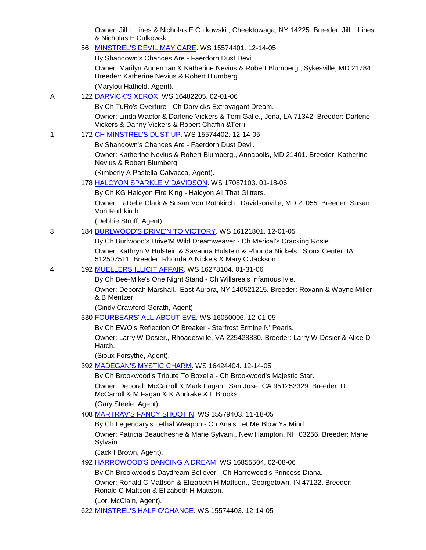Owner: Jill L Lines & Nicholas E Culkowski., Cheektowaga, NY 14225. Breeder: Jill L Lines & Nicholas E Culkowski.

56 [MINSTREL'S DEVIL MAY CARE.](http://canis.infodog.com/files/bdogrsl1.prg;makc=WS_15574401;mdog=Minstrel_s_Devil_May_Care;wins=all) WS 15574401. 12-14-05

By Shandown's Chances Are - Faerdorn Dust Devil.

Owner: Marilyn Anderman & Katherine Nevius & Robert Blumberg., Sykesville, MD 21784. Breeder: Katherine Nevius & Robert Blumberg.

(Marylou Hatfield, Agent).

A 122 [DARVICK'S XEROX.](http://canis.infodog.com/files/bdogrsl1.prg;makc=WS_16482205;mdog=Darvick_s_Xerox;wins=all) WS 16482205. 02-01-06

By Ch TuRo's Overture - Ch Darvicks Extravagant Dream.

Owner: Linda Wactor & Darlene Vickers & Terri Galle., Jena, LA 71342. Breeder: Darlene Vickers & Danny Vickers & Robert Chaffin &Terri.

1 172 [CH MINSTREL'S DUST UP.](http://canis.infodog.com/files/bdogrsl1.prg;makc=WS_15574402;mdog=Ch_Minstrel_s_Dust_Up;wins=all) WS 15574402. 12-14-05

By Shandown's Chances Are - Faerdorn Dust Devil.

Owner: Katherine Nevius & Robert Blumberg., Annapolis, MD 21401. Breeder: Katherine Nevius & Robert Blumberg.

(Kimberly A Pastella-Calvacca, Agent).

178 [HALCYON SPARKLE V DAVIDSON.](http://canis.infodog.com/files/bdogrsl1.prg;makc=WS_17087103;mdog=Halcyon_Sparkle_V_Davidson;wins=all) WS 17087103. 01-18-06

By Ch KG Halcyon Fire King - Halcyon All That Glitters.

Owner: LaRelle Clark & Susan Von Rothkirch., Davidsonville, MD 21055. Breeder: Susan Von Rothkirch.

(Debbie Struff, Agent).

3 184 [BURLWOOD'S DRIVE'N TO VICTORY.](http://canis.infodog.com/files/bdogrsl1.prg;makc=WS_16121801;mdog=Burlwood_s_Drive_N_To_Victory;wins=all) WS 16121801. 12-01-05

By Ch Burlwood's Drive'M Wild Dreamweaver - Ch Merical's Cracking Rosie.

Owner: Kathryn V Hulstein & Savanna Hulstein & Rhonda Nickels., Sioux Center, IA 512507511. Breeder: Rhonda A Nickels & Mary C Jackson.

### 4 192 [MUELLERS ILLICIT AFFAIR.](http://canis.infodog.com/files/bdogrsl1.prg;makc=WS_16278104;mdog=Muellers_Illicit_Affair;wins=all) WS 16278104. 01-31-06

By Ch Bee-Mike's One Night Stand - Ch Willarea's Infamous Ivie.

Owner: Deborah Marshall., East Aurora, NY 140521215. Breeder: Roxann & Wayne Miller & B Mentzer.

(Cindy Crawford-Gorath, Agent).

330 [FOURBEARS' ALL-ABOUT EVE.](http://canis.infodog.com/files/bdogrsl1.prg;makc=WS_16050006;mdog=Fourbears__All-About_Eve;wins=all) WS 16050006. 12-01-05

By Ch EWO's Reflection Of Breaker - Starfrost Ermine N' Pearls.

Owner: Larry W Dosier., Rhoadesville, VA 225428830. Breeder: Larry W Dosier & Alice D Hatch.

(Sioux Forsythe, Agent).

392 [MADEGAN'S MYSTIC CHARM.](http://canis.infodog.com/files/bdogrsl1.prg;makc=WS_16424404;mdog=Madegan_s_Mystic_Charm;wins=all) WS 16424404. 12-14-05

By Ch Brookwood's Tribute To Boxella - Ch Brookwood's Majestic Star.

Owner: Deborah McCarroll & Mark Fagan., San Jose, CA 951253329. Breeder: D McCarroll & M Fagan & K Andrake & L Brooks.

(Gary Steele, Agent).

408 [MARTRAV'S FANCY SHOOTIN.](http://canis.infodog.com/files/bdogrsl1.prg;makc=WS_15579403;mdog=MarTrav_s_Fancy_Shootin;wins=all) WS 15579403. 11-18-05

By Ch Legendary's Lethal Weapon - Ch Ana's Let Me Blow Ya Mind.

Owner: Patricia Beauchesne & Marie Sylvain., New Hampton, NH 03256. Breeder: Marie Sylvain.

(Jack I Brown, Agent).

492 [HARROWOOD'S DANCING A DREAM.](http://canis.infodog.com/files/bdogrsl1.prg;makc=WS_16855504;mdog=Harrowood_s_Dancing_A_Dream;wins=all) WS 16855504. 02-08-06

By Ch Brookwood's Daydream Believer - Ch Harrowood's Princess Diana. Owner: Ronald C Mattson & Elizabeth H Mattson., Georgetown, IN 47122. Breeder: Ronald C Mattson & Elizabeth H Mattson. (Lori McClain, Agent).

622 [MINSTREL'S HALF O'CHANCE.](http://canis.infodog.com/files/bdogrsl1.prg;makc=WS_15574403;mdog=Minstrel_s_Half_O_Chance;wins=all) WS 15574403. 12-14-05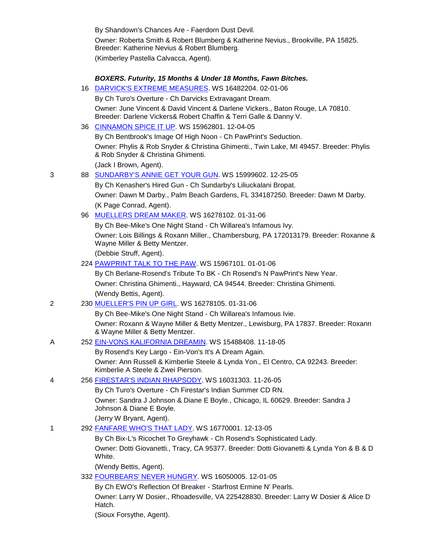By Shandown's Chances Are - Faerdorn Dust Devil. Owner: Roberta Smith & Robert Blumberg & Katherine Nevius., Brookville, PA 15825. Breeder: Katherine Nevius & Robert Blumberg. (Kimberley Pastella Calvacca, Agent).

|   |    | BOXERS. Futurity, 15 Months & Under 18 Months, Fawn Bitches.                                                                                        |
|---|----|-----------------------------------------------------------------------------------------------------------------------------------------------------|
|   | 16 | DARVICK'S EXTREME MEASURES WS 16482204. 02-01-06                                                                                                    |
|   |    | By Ch Turo's Overture - Ch Darvicks Extravagant Dream.                                                                                              |
|   |    | Owner: June Vincent & David Vincent & Darlene Vickers., Baton Rouge, LA 70810.<br>Breeder: Darlene Vickers& Robert Chaffin & Terri Galle & Danny V. |
|   |    | 36 CINNAMON SPICE IT UP. WS 15962801. 12-04-05                                                                                                      |
|   |    | By Ch Bentbrook's Image Of High Noon - Ch PawPrint's Seduction.                                                                                     |
|   |    | Owner: Phylis & Rob Snyder & Christina Ghimenti., Twin Lake, MI 49457. Breeder: Phylis<br>& Rob Snyder & Christina Ghimenti.                        |
|   |    | (Jack I Brown, Agent).                                                                                                                              |
| 3 |    | 88 SUNDARBY'S ANNIE GET YOUR GUN. WS 15999602. 12-25-05                                                                                             |
|   |    | By Ch Kenasher's Hired Gun - Ch Sundarby's Liliuckalani Bropat.                                                                                     |
|   |    | Owner: Dawn M Darby., Palm Beach Gardens, FL 334187250. Breeder: Dawn M Darby.                                                                      |
|   |    | (K Page Conrad, Agent).                                                                                                                             |
|   |    | 96 MUELLERS DREAM MAKER. WS 16278102. 01-31-06                                                                                                      |
|   |    | By Ch Bee-Mike's One Night Stand - Ch Willarea's Infamous Ivy.                                                                                      |
|   |    | Owner: Lois Billings & Roxann Miller., Chambersburg, PA 172013179. Breeder: Roxanne &<br>Wayne Miller & Betty Mentzer.                              |
|   |    | (Debbie Struff, Agent).                                                                                                                             |
|   |    | 224 PAWPRINT TALK TO THE PAW. WS 15967101. 01-01-06                                                                                                 |
|   |    | By Ch Berlane-Rosend's Tribute To BK - Ch Rosend's N PawPrint's New Year.                                                                           |
|   |    | Owner: Christina Ghimenti., Hayward, CA 94544. Breeder: Christina Ghimenti.                                                                         |
|   |    | (Wendy Bettis, Agent).                                                                                                                              |
| 2 |    | 230 MUELLER'S PIN UP GIRL. WS 16278105. 01-31-06                                                                                                    |
|   |    | By Ch Bee-Mike's One Night Stand - Ch Willarea's Infamous Ivie.                                                                                     |
|   |    | Owner: Roxann & Wayne Miller & Betty Mentzer., Lewisburg, PA 17837. Breeder: Roxann<br>& Wayne Miller & Betty Mentzer.                              |
| Α |    | 252 EIN-VONS KALIFORNIA DREAMIN. WS 15488408. 11-18-05                                                                                              |
|   |    | By Rosend's Key Largo - Ein-Von's It's A Dream Again.                                                                                               |
|   |    | Owner: Ann Russell & Kimberlie Steele & Lynda Yon., El Centro, CA 92243. Breeder:<br>Kimberlie A Steele & Zwei Pierson.                             |
| 4 |    | 256 FIRESTAR'S INDIAN RHAPSODY. WS 16031303. 11-26-05                                                                                               |
|   |    | By Ch Turo's Overture - Ch Firestar's Indian Summer CD RN.                                                                                          |
|   |    | Owner: Sandra J Johnson & Diane E Boyle., Chicago, IL 60629. Breeder: Sandra J<br>Johnson & Diane E Boyle.                                          |
|   |    | (Jerry W Bryant, Agent).                                                                                                                            |
| 1 |    | 292 FANFARE WHO'S THAT LADY. WS 16770001. 12-13-05                                                                                                  |
|   |    | By Ch Bix-L's Ricochet To Greyhawk - Ch Rosend's Sophisticated Lady.                                                                                |
|   |    | Owner: Dotti Giovanetti., Tracy, CA 95377. Breeder: Dotti Giovanetti & Lynda Yon & B & D<br>White.                                                  |
|   |    | (Wendy Bettis, Agent).                                                                                                                              |
|   |    | 332 FOURBEARS' NEVER HUNGRY. WS 16050005. 12-01-05                                                                                                  |
|   |    | By Ch EWO's Reflection Of Breaker - Starfrost Ermine N' Pearls.                                                                                     |
|   |    | Owner: Larry W Dosier., Rhoadesville, VA 225428830. Breeder: Larry W Dosier & Alice D<br>Hatch.                                                     |
|   |    | (Sioux Forsythe, Agent).                                                                                                                            |